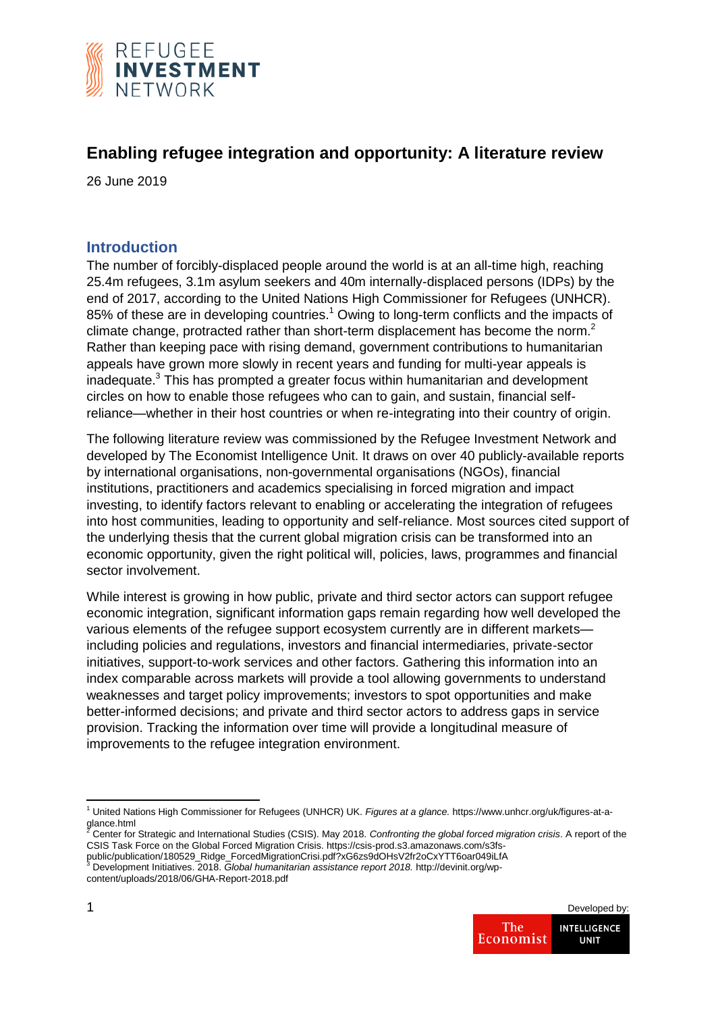

# **Enabling refugee integration and opportunity: A literature review**

26 June 2019

## **Introduction**

The number of forcibly-displaced people around the world is at an all-time high, reaching 25.4m refugees, 3.1m asylum seekers and 40m internally-displaced persons (IDPs) by the end of 2017, according to the United Nations High Commissioner for Refugees (UNHCR). 85% of these are in developing countries.<sup>1</sup> Owing to long-term conflicts and the impacts of climate change, protracted rather than short-term displacement has become the norm.<sup>2</sup> Rather than keeping pace with rising demand, government contributions to humanitarian appeals have grown more slowly in recent years and funding for multi-year appeals is inadequate. $3$  This has prompted a greater focus within humanitarian and development circles on how to enable those refugees who can to gain, and sustain, financial selfreliance—whether in their host countries or when re-integrating into their country of origin.

The following literature review was commissioned by the Refugee Investment Network and developed by The Economist Intelligence Unit. It draws on over 40 publicly-available reports by international organisations, non-governmental organisations (NGOs), financial institutions, practitioners and academics specialising in forced migration and impact investing, to identify factors relevant to enabling or accelerating the integration of refugees into host communities, leading to opportunity and self-reliance. Most sources cited support of the underlying thesis that the current global migration crisis can be transformed into an economic opportunity, given the right political will, policies, laws, programmes and financial sector involvement.

While interest is growing in how public, private and third sector actors can support refugee economic integration, significant information gaps remain regarding how well developed the various elements of the refugee support ecosystem currently are in different markets including policies and regulations, investors and financial intermediaries, private-sector initiatives, support-to-work services and other factors. Gathering this information into an index comparable across markets will provide a tool allowing governments to understand weaknesses and target policy improvements; investors to spot opportunities and make better-informed decisions; and private and third sector actors to address gaps in service provision. Tracking the information over time will provide a longitudinal measure of improvements to the refugee integration environment.

public/publication/180529\_Ridge\_ForcedMigrationCrisi.pdf?xG6zs9dOHsV2fr2oCxYTT6oar049iLfA <sup>3</sup> Development Initiatives. 2018. *Global humanitarian assistance report 2018.* http://devinit.org/wpcontent/uploads/2018/06/GHA-Report-2018.pdf



**<sup>.</sup>** <sup>1</sup> United Nations High Commissioner for Refugees (UNHCR) UK. *Figures at a glance.* https://www.unhcr.org/uk/figures-at-aglance.html

<sup>2</sup> Center for Strategic and International Studies (CSIS). May 2018. *Confronting the global forced migration crisis*. A report of the CSIS Task Force on the Global Forced Migration Crisis. https://csis-prod.s3.amazonaws.com/s3fs-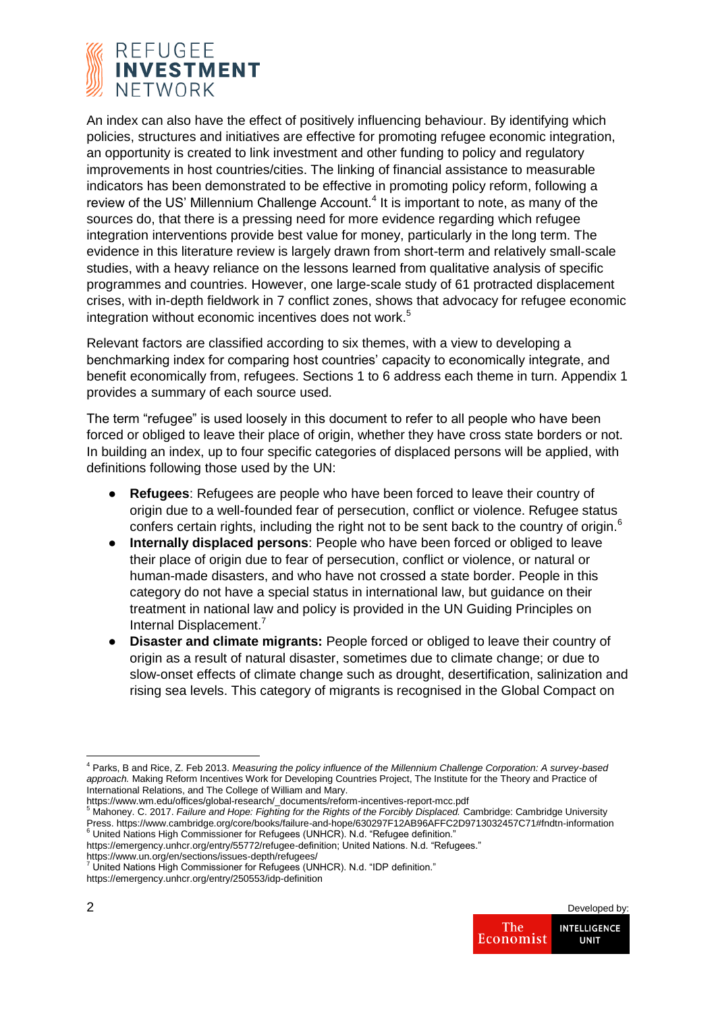

An index can also have the effect of positively influencing behaviour. By identifying which policies, structures and initiatives are effective for promoting refugee economic integration, an opportunity is created to link investment and other funding to policy and regulatory improvements in host countries/cities. The linking of financial assistance to measurable indicators has been demonstrated to be effective in promoting policy reform, following a review of the US' Millennium Challenge Account.<sup>4</sup> It is important to note, as many of the sources do, that there is a pressing need for more evidence regarding which refugee integration interventions provide best value for money, particularly in the long term. The evidence in this literature review is largely drawn from short-term and relatively small-scale studies, with a heavy reliance on the lessons learned from qualitative analysis of specific programmes and countries. However, one large-scale study of 61 protracted displacement crises, with in-depth fieldwork in 7 conflict zones, shows that advocacy for refugee economic integration without economic incentives does not work.<sup>5</sup>

Relevant factors are classified according to six themes, with a view to developing a benchmarking index for comparing host countries' capacity to economically integrate, and benefit economically from, refugees. Sections 1 to 6 address each theme in turn. Appendix 1 provides a summary of each source used.

The term "refugee" is used loosely in this document to refer to all people who have been forced or obliged to leave their place of origin, whether they have cross state borders or not. In building an index, up to four specific categories of displaced persons will be applied, with definitions following those used by the UN:

- **Refugees**: Refugees are people who have been forced to leave their country of origin due to a well-founded fear of persecution, conflict or violence. Refugee status confers certain rights, including the right not to be sent back to the country of origin.<sup>6</sup>
- **Internally displaced persons**: People who have been forced or obliged to leave their place of origin due to fear of persecution, conflict or violence, or natural or human-made disasters, and who have not crossed a state border. People in this category do not have a special status in international law, but guidance on their treatment in national law and policy is provided in the UN Guiding Principles on Internal Displacement.<sup>7</sup>
- **Disaster and climate migrants:** People forced or obliged to leave their country of origin as a result of natural disaster, sometimes due to climate change; or due to slow-onset effects of climate change such as drought, desertification, salinization and rising sea levels. This category of migrants is recognised in the Global Compact on

https://emergency.unhcr.org/entry/250553/idp-definition



<sup>4</sup> Parks, B and Rice, Z. Feb 2013. *Measuring the policy influence of the Millennium Challenge Corporation: A survey-based approach.* Making Reform Incentives Work for Developing Countries Project, The Institute for the Theory and Practice of International Relations, and The College of William and Mary.

https://www.wm.edu/offices/global-research/\_documents/reform-incentives-report-mcc.pdf <sup>5</sup> Mahoney. C. 2017. *Failure and Hope: Fighting for the Rights of the Forcibly Displaced.* Cambridge: Cambridge University Press. https://www.cambridge.org/core/books/failure-and-hope/630297F12AB96AFFC2D9713032457C71#fndtn-information <sup>6</sup> United Nations High Commissioner for Refugees (UNHCR). N.d. "Refugee definition."

https://emergency.unhcr.org/entry/55772/refugee-definition; United Nations. N.d. "Refugees."

https://www.un.org/en/sections/issues-depth/refugees/<br><sup>7</sup> United Nations High Commissioner for Refugees (UNHCR). N.d. "IDP definition."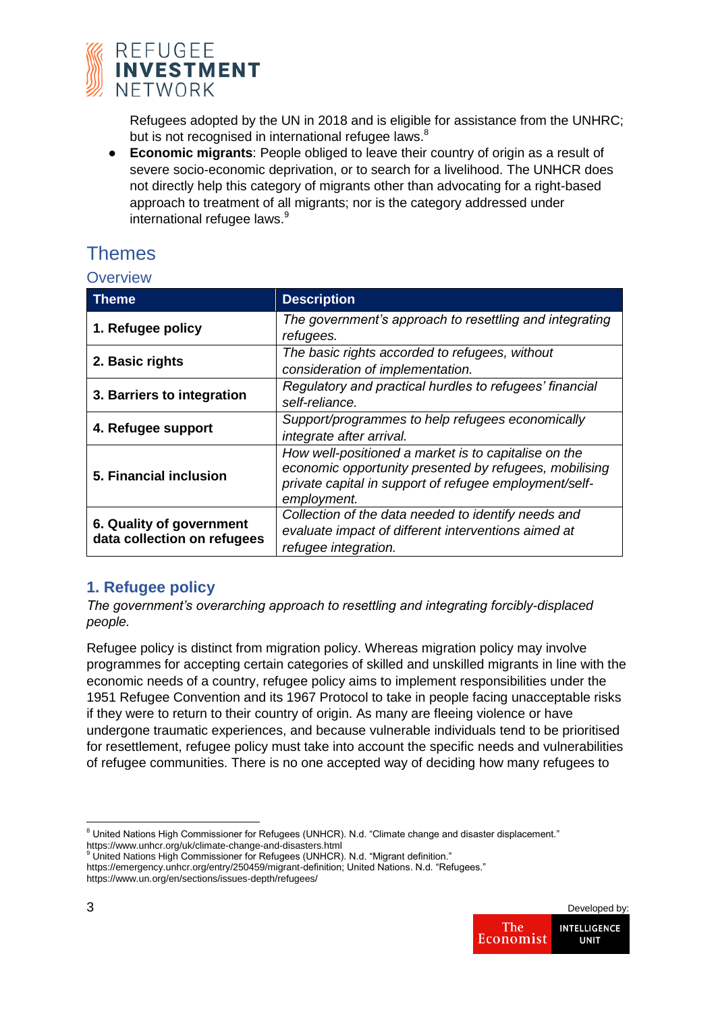

Refugees adopted by the UN in 2018 and is eligible for assistance from the UNHRC; but is not recognised in international refugee laws.<sup>8</sup>

● **Economic migrants**: People obliged to leave their country of origin as a result of severe socio-economic deprivation, or to search for a livelihood. The UNHCR does not directly help this category of migrants other than advocating for a right-based approach to treatment of all migrants; nor is the category addressed under international refugee laws.<sup>9</sup>

# Themes

## **Overview**

| Theme                                                   | <b>Description</b>                                                                                                                                                                      |
|---------------------------------------------------------|-----------------------------------------------------------------------------------------------------------------------------------------------------------------------------------------|
| 1. Refugee policy                                       | The government's approach to resettling and integrating<br>refugees.                                                                                                                    |
| 2. Basic rights                                         | The basic rights accorded to refugees, without<br>consideration of implementation.                                                                                                      |
| 3. Barriers to integration                              | Regulatory and practical hurdles to refugees' financial<br>self-reliance.                                                                                                               |
| 4. Refugee support                                      | Support/programmes to help refugees economically<br>integrate after arrival.                                                                                                            |
| 5. Financial inclusion                                  | How well-positioned a market is to capitalise on the<br>economic opportunity presented by refugees, mobilising<br>private capital in support of refugee employment/self-<br>employment. |
| 6. Quality of government<br>data collection on refugees | Collection of the data needed to identify needs and<br>evaluate impact of different interventions aimed at<br>refugee integration.                                                      |

## **1. Refugee policy**

*The government's overarching approach to resettling and integrating forcibly-displaced people.*

Refugee policy is distinct from migration policy. Whereas migration policy may involve programmes for accepting certain categories of skilled and unskilled migrants in line with the economic needs of a country, refugee policy aims to implement responsibilities under the 1951 Refugee Convention and its 1967 Protocol to take in people facing unacceptable risks if they were to return to their country of origin. As many are fleeing violence or have undergone traumatic experiences, and because vulnerable individuals tend to be prioritised for resettlement, refugee policy must take into account the specific needs and vulnerabilities of refugee communities. There is no one accepted way of deciding how many refugees to

https://emergency.unhcr.org/entry/250459/migrant-definition; United Nations. N.d. "Refugees." https://www.un.org/en/sections/issues-depth/refugees/



 $8$  United Nations High Commissioner for Refugees (UNHCR). N.d. "Climate change and disaster displacement." https://www.unhcr.org/uk/climate-change-and-disasters.html <sup>9</sup> United Nations High Commissioner for Refugees (UNHCR). N.d. "Migrant definition."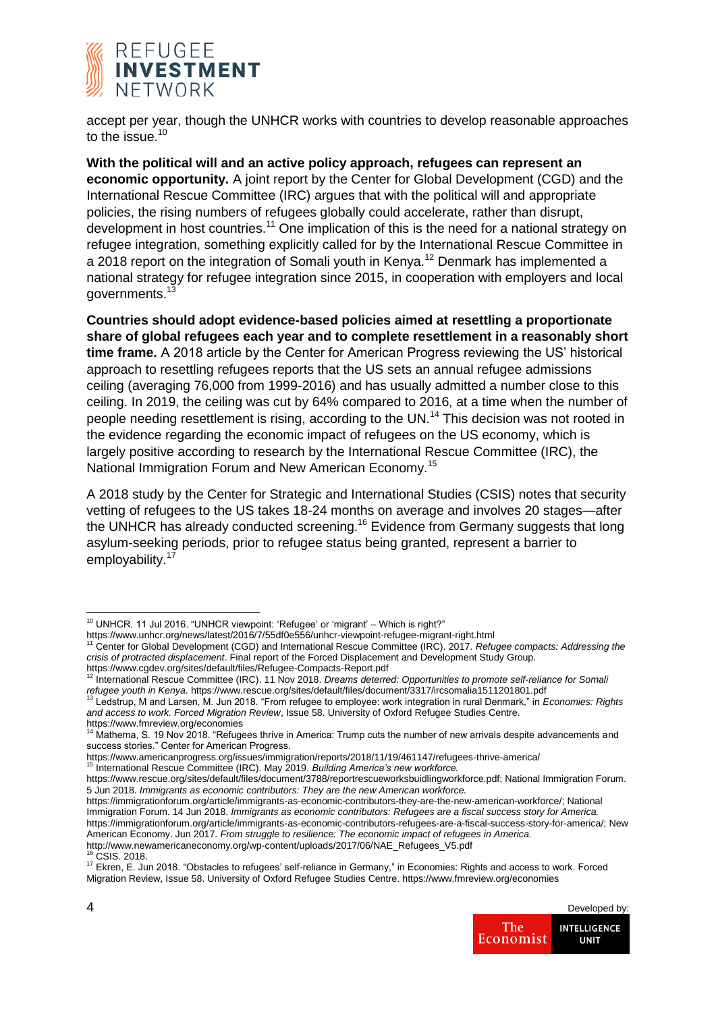

accept per year, though the UNHCR works with countries to develop reasonable approaches to the issue. $10$ 

**With the political will and an active policy approach, refugees can represent an economic opportunity.** A joint report by the Center for Global Development (CGD) and the International Rescue Committee (IRC) argues that with the political will and appropriate policies, the rising numbers of refugees globally could accelerate, rather than disrupt, development in host countries.<sup>11</sup> One implication of this is the need for a national strategy on refugee integration, something explicitly called for by the International Rescue Committee in a 2018 report on the integration of Somali youth in Kenya.<sup>12</sup> Denmark has implemented a national strategy for refugee integration since 2015, in cooperation with employers and local governments.<sup>13</sup>

**Countries should adopt evidence-based policies aimed at resettling a proportionate share of global refugees each year and to complete resettlement in a reasonably short time frame.** A 2018 article by the Center for American Progress reviewing the US' historical approach to resettling refugees reports that the US sets an annual refugee admissions ceiling (averaging 76,000 from 1999-2016) and has usually admitted a number close to this ceiling. In 2019, the ceiling was cut by 64% compared to 2016, at a time when the number of people needing resettlement is rising, according to the UN.<sup>14</sup> This decision was not rooted in the evidence regarding the economic impact of refugees on the US economy, which is largely positive according to research by the International Rescue Committee (IRC), the National Immigration Forum and New American Economy.<sup>15</sup>

A 2018 study by the Center for Strategic and International Studies (CSIS) notes that security vetting of refugees to the US takes 18-24 months on average and involves 20 stages—after the UNHCR has already conducted screening.<sup>16</sup> Evidence from Germany suggests that long asylum-seeking periods, prior to refugee status being granted, represent a barrier to employability. $1$ 

CSIS. 2018.

<sup>17</sup> Ekren, E. Jun 2018. "Obstacles to refugees' self-reliance in Germany," in Economies: Rights and access to work. Forced Migration Review, Issue 58. University of Oxford Refugee Studies Centre. https://www.fmreview.org/economies



 $10$  UNHCR. 11 Jul 2016. "UNHCR viewpoint: 'Refugee' or 'migrant' – Which is right?"

https://www.unhcr.org/news/latest/2016/7/55df0e556/unhcr-viewpoint-refugee-migrant-right.html <sup>11</sup> Center for Global Development (CGD) and International Rescue Committee (IRC). 2017. *Refugee compacts: Addressing the crisis of protracted displacement*. Final report of the Forced Displacement and Development Study Group.

https://www.cgdev.org/sites/default/files/Refugee-Compacts-Report.pdf <sup>12</sup> International Rescue Committee (IRC). 11 Nov 2018. *Dreams deterred: Opportunities to promote self-reliance for Somali refugee youth in Kenya.* https://www.rescue.org/sites/default/files/document/3317/ircsomalia1511201801.pdf<br><sup>13</sup> Ledstrup, M and Larsen, M. Jun 2018. "From refugee to employee: work integration in rural Denmark," in *Econo* 

*and access to work. Forced Migration Review*, Issue 58. University of Oxford Refugee Studies Centre. https://www.fmreview.org/economies

Mathema, S. 19 Nov 2018. "Refugees thrive in America: Trump cuts the number of new arrivals despite advancements and success stories." Center for American Progress.

https://www.americanprogress.org/issues/immigration/reports/2018/11/19/461147/refugees-thrive-america/ <sup>15</sup> International Rescue Committee (IRC). May 2019. *Building America's new workforce.*

https://www.rescue.org/sites/default/files/document/3788/reportrescueworksbuidlingworkforce.pdf; National Immigration Forum. 5 Jun 2018. *Immigrants as economic contributors: They are the new American workforce.*

https://immigrationforum.org/article/immigrants-as-economic-contributors-they-are-the-new-american-workforce/; National Immigration Forum. 14 Jun 2018. *Immigrants as economic contributors: Refugees are a fiscal success story for America.*  https://immigrationforum.org/article/immigrants-as-economic-contributors-refugees-are-a-fiscal-success-story-for-america/; New American Economy. Jun 2017. *From struggle to resilience: The economic impact of refugees in America.* 

http://www.newamericaneconomy.org/wp-content/uploads/2017/06/NAE\_Refugees\_V5.pdf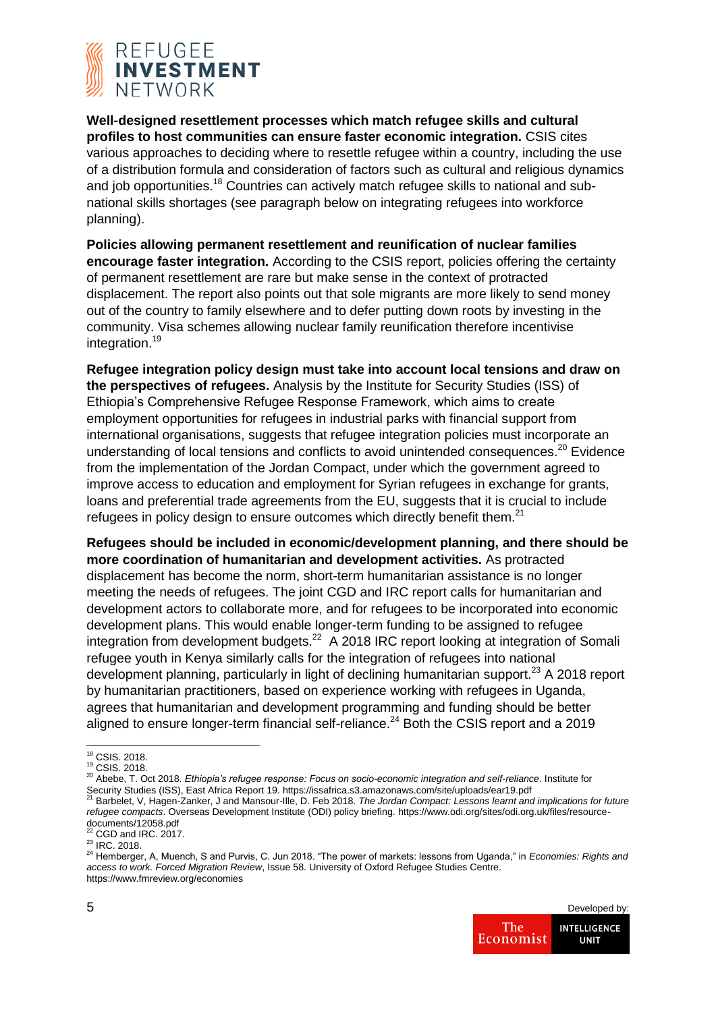

**Well-designed resettlement processes which match refugee skills and cultural profiles to host communities can ensure faster economic integration.** CSIS cites various approaches to deciding where to resettle refugee within a country, including the use of a distribution formula and consideration of factors such as cultural and religious dynamics and job opportunities.<sup>18</sup> Countries can actively match refugee skills to national and subnational skills shortages (see paragraph below on integrating refugees into workforce planning).

**Policies allowing permanent resettlement and reunification of nuclear families encourage faster integration.** According to the CSIS report, policies offering the certainty of permanent resettlement are rare but make sense in the context of protracted displacement. The report also points out that sole migrants are more likely to send money out of the country to family elsewhere and to defer putting down roots by investing in the community. Visa schemes allowing nuclear family reunification therefore incentivise integration.<sup>19</sup>

**Refugee integration policy design must take into account local tensions and draw on the perspectives of refugees.** Analysis by the Institute for Security Studies (ISS) of Ethiopia's Comprehensive Refugee Response Framework, which aims to create employment opportunities for refugees in industrial parks with financial support from international organisations, suggests that refugee integration policies must incorporate an understanding of local tensions and conflicts to avoid unintended consequences.<sup>20</sup> Evidence from the implementation of the Jordan Compact, under which the government agreed to improve access to education and employment for Syrian refugees in exchange for grants, loans and preferential trade agreements from the EU, suggests that it is crucial to include refugees in policy design to ensure outcomes which directly benefit them.<sup>21</sup>

**Refugees should be included in economic/development planning, and there should be more coordination of humanitarian and development activities.** As protracted displacement has become the norm, short-term humanitarian assistance is no longer meeting the needs of refugees. The joint CGD and IRC report calls for humanitarian and development actors to collaborate more, and for refugees to be incorporated into economic development plans. This would enable longer-term funding to be assigned to refugee integration from development budgets. $22$  A 2018 IRC report looking at integration of Somali refugee youth in Kenya similarly calls for the integration of refugees into national development planning, particularly in light of declining humanitarian support.<sup>23</sup> A 2018 report by humanitarian practitioners, based on experience working with refugees in Uganda, agrees that humanitarian and development programming and funding should be better aligned to ensure longer-term financial self-reliance.<sup>24</sup> Both the CSIS report and a 2019

<sup>24</sup> Hemberger, A, Muench, S and Purvis, C. Jun 2018. "The power of markets: lessons from Uganda," in *Economies: Rights and access to work. Forced Migration Review*, Issue 58. University of Oxford Refugee Studies Centre. https://www.fmreview.org/economies



<sup>1</sup> <sup>18</sup> CSIS. 2018.

<sup>19</sup> CSIS. 2018.

<sup>20</sup> Abebe, T. Oct 2018. *Ethiopia's refugee response: Focus on socio-economic integration and self-reliance*. Institute for Security Studies (ISS), East Africa Report 19. https://issafrica.s3.amazonaws.com/site/uploads/ear19.pdf<br><sup>21</sup> Barbelet, V, Hagen-Zanker, J and Mansour-Ille, D. Feb 2018. *The Jordan Compact: Lessons learnt and implications* 

*refugee compacts*. Overseas Development Institute (ODI) policy briefing. https://www.odi.org/sites/odi.org.uk/files/resourcedocuments/12058.pdf <sup>22</sup> CGD and IRC. 2017.

 $^{23}$  IRC. 2018.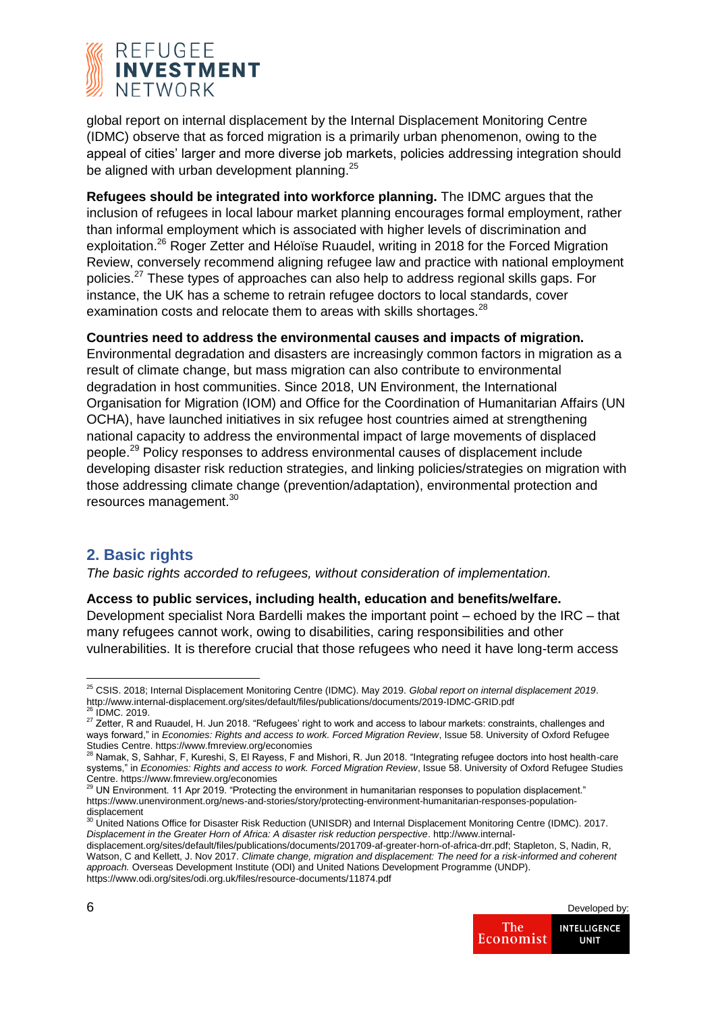

global report on internal displacement by the Internal Displacement Monitoring Centre (IDMC) observe that as forced migration is a primarily urban phenomenon, owing to the appeal of cities' larger and more diverse job markets, policies addressing integration should be aligned with urban development planning.<sup>25</sup>

**Refugees should be integrated into workforce planning.** The IDMC argues that the inclusion of refugees in local labour market planning encourages formal employment, rather than informal employment which is associated with higher levels of discrimination and exploitation.<sup>26</sup> Roger Zetter and Héloïse Ruaudel, writing in 2018 for the Forced Migration Review, conversely recommend aligning refugee law and practice with national employment policies.<sup>27</sup> These types of approaches can also help to address regional skills gaps. For instance, the UK has a scheme to retrain refugee doctors to local standards, cover examination costs and relocate them to areas with skills shortages.<sup>28</sup>

**Countries need to address the environmental causes and impacts of migration.**  Environmental degradation and disasters are increasingly common factors in migration as a result of climate change, but mass migration can also contribute to environmental degradation in host communities. Since 2018, UN Environment, the International Organisation for Migration (IOM) and Office for the Coordination of Humanitarian Affairs (UN OCHA), have launched initiatives in six refugee host countries aimed at strengthening national capacity to address the environmental impact of large movements of displaced people.<sup>29</sup> Policy responses to address environmental causes of displacement include developing disaster risk reduction strategies, and linking policies/strategies on migration with those addressing climate change (prevention/adaptation), environmental protection and resources management.<sup>30</sup>

## **2. Basic rights**

*The basic rights accorded to refugees, without consideration of implementation.*

## **Access to public services, including health, education and benefits/welfare.**

Development specialist Nora Bardelli makes the important point – echoed by the IRC – that many refugees cannot work, owing to disabilities, caring responsibilities and other vulnerabilities. It is therefore crucial that those refugees who need it have long-term access

displacement.org/sites/default/files/publications/documents/201709-af-greater-horn-of-africa-drr.pdf; Stapleton, S, Nadin, R, Watson, C and Kellett, J. Nov 2017. *Climate change, migration and displacement: The need for a risk-informed and coherent approach.* Overseas Development Institute (ODI) and United Nations Development Programme (UNDP). https://www.odi.org/sites/odi.org.uk/files/resource-documents/11874.pdf



<sup>25</sup> CSIS. 2018; Internal Displacement Monitoring Centre (IDMC). May 2019. *Global report on internal displacement 2019*. http://www.internal-displacement.org/sites/default/files/publications/documents/2019-IDMC-GRID.pdf  $6$  IDMC. 2019.

<sup>27</sup> Zetter, R and Ruaudel, H. Jun 2018. "Refugees' right to work and access to labour markets: constraints, challenges and ways forward," in *Economies: Rights and access to work. Forced Migration Review*, Issue 58. University of Oxford Refugee Studies Centre. https://www.fmreview.org/economies

<sup>28</sup> Namak, S, Sahhar, F, Kureshi, S, El Rayess, F and Mishori, R. Jun 2018. "Integrating refugee doctors into host health-care systems," in *Economies: Rights and access to work. Forced Migration Review*, Issue 58. University of Oxford Refugee Studies Centre. https://www.fmreview.org/economies

UN Environment. 11 Apr 2019. "Protecting the environment in humanitarian responses to population displacement." https://www.unenvironment.org/news-and-stories/story/protecting-environment-humanitarian-responses-populationdisplacement<br><sup>30</sup> United Nations Office for Disaster Risk Reduction (UNISDR) and Internal Displacement Monitoring Centre (IDMC). 2017.

*Displacement in the Greater Horn of Africa: A disaster risk reduction perspective*. http://www.internal-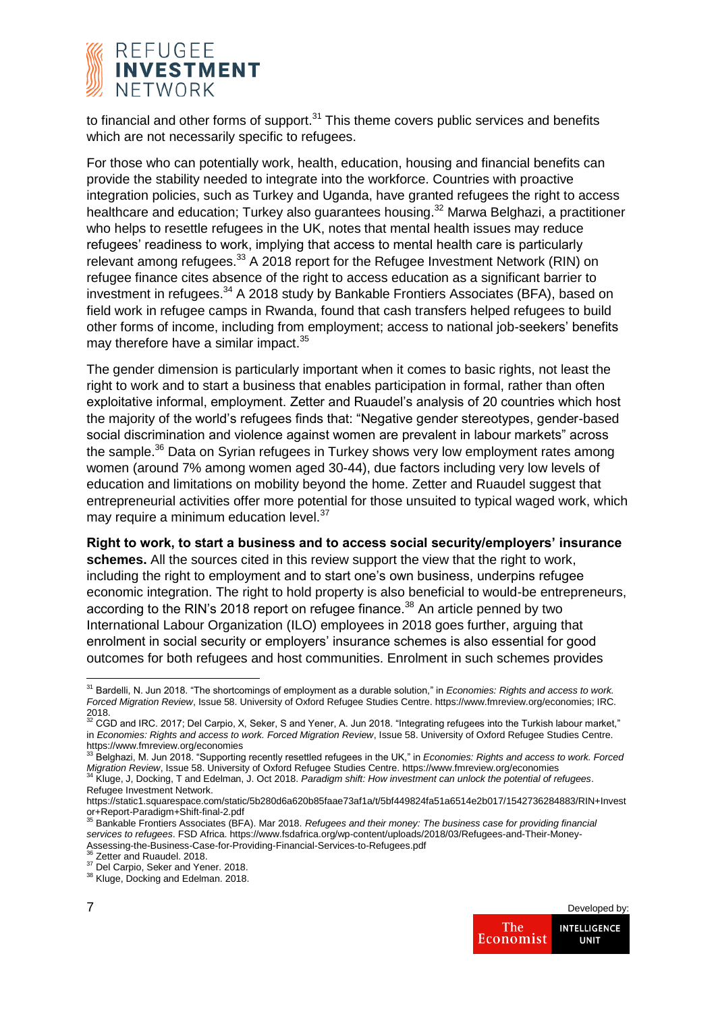

to financial and other forms of support. $31$  This theme covers public services and benefits which are not necessarily specific to refugees.

For those who can potentially work, health, education, housing and financial benefits can provide the stability needed to integrate into the workforce. Countries with proactive integration policies, such as Turkey and Uganda, have granted refugees the right to access healthcare and education: Turkey also guarantees housing.<sup>32</sup> Marwa Belghazi, a practitioner who helps to resettle refugees in the UK, notes that mental health issues may reduce refugees' readiness to work, implying that access to mental health care is particularly relevant among refugees.<sup>33</sup> A 2018 report for the Refugee Investment Network (RIN) on refugee finance cites absence of the right to access education as a significant barrier to investment in refugees.<sup>34</sup> A 2018 study by Bankable Frontiers Associates (BFA), based on field work in refugee camps in Rwanda, found that cash transfers helped refugees to build other forms of income, including from employment; access to national job-seekers' benefits may therefore have a similar impact.<sup>35</sup>

The gender dimension is particularly important when it comes to basic rights, not least the right to work and to start a business that enables participation in formal, rather than often exploitative informal, employment. Zetter and Ruaudel's analysis of 20 countries which host the majority of the world's refugees finds that: "Negative gender stereotypes, gender-based social discrimination and violence against women are prevalent in labour markets" across the sample.<sup>36</sup> Data on Syrian refugees in Turkey shows very low employment rates among women (around 7% among women aged 30-44), due factors including very low levels of education and limitations on mobility beyond the home. Zetter and Ruaudel suggest that entrepreneurial activities offer more potential for those unsuited to typical waged work, which may require a minimum education level.<sup>37</sup>

**Right to work, to start a business and to access social security/employers' insurance schemes.** All the sources cited in this review support the view that the right to work, including the right to employment and to start one's own business, underpins refugee economic integration. The right to hold property is also beneficial to would-be entrepreneurs, according to the RIN's 2018 report on refugee finance.<sup>38</sup> An article penned by two International Labour Organization (ILO) employees in 2018 goes further, arguing that enrolment in social security or employers' insurance schemes is also essential for good outcomes for both refugees and host communities. Enrolment in such schemes provides

<sup>38</sup> Kluge, Docking and Edelman. 2018.



<sup>31</sup> Bardelli, N. Jun 2018. "The shortcomings of employment as a durable solution," in *Economies: Rights and access to work. Forced Migration Review*, Issue 58. University of Oxford Refugee Studies Centre. https://www.fmreview.org/economies; IRC.  $^{2018.}_{32}$ 

<sup>32</sup> CGD and IRC. 2017; Del Carpio, X, Seker, S and Yener, A. Jun 2018. "Integrating refugees into the Turkish labour market," in *Economies: Rights and access to work. Forced Migration Review*, Issue 58. University of Oxford Refugee Studies Centre. https://www.fmreview.org/economies

<sup>33</sup> Belghazi, M. Jun 2018. "Supporting recently resettled refugees in the UK," in *Economies: Rights and access to work. Forced Migration Review*, Issue 58. University of Oxford Refugee Studies Centre. https://www.fmreview.org/economies<br><sup>34</sup> Kluge, J, Docking, T and Edelman, J. Oct 2018. *Paradigm shift: How investment can unlock the potential of* 

Refugee Investment Network.

https://static1.squarespace.com/static/5b280d6a620b85faae73af1a/t/5bf449824fa51a6514e2b017/1542736284883/RIN+Invest or+Report-Paradigm+Shift-final-2.pdf <sup>35</sup> Bankable Frontiers Associates (BFA). Mar 2018. *Refugees and their money: The business case for providing financial* 

*services to refugees*. FSD Africa. https://www.fsdafrica.org/wp-content/uploads/2018/03/Refugees-and-Their-Money-Assessing-the-Business-Case-for-Providing-Financial-Services-to-Refugees.pdf

Zetter and Ruaudel. 2018.

<sup>&</sup>lt;sup>37</sup> Del Carpio, Seker and Yener. 2018.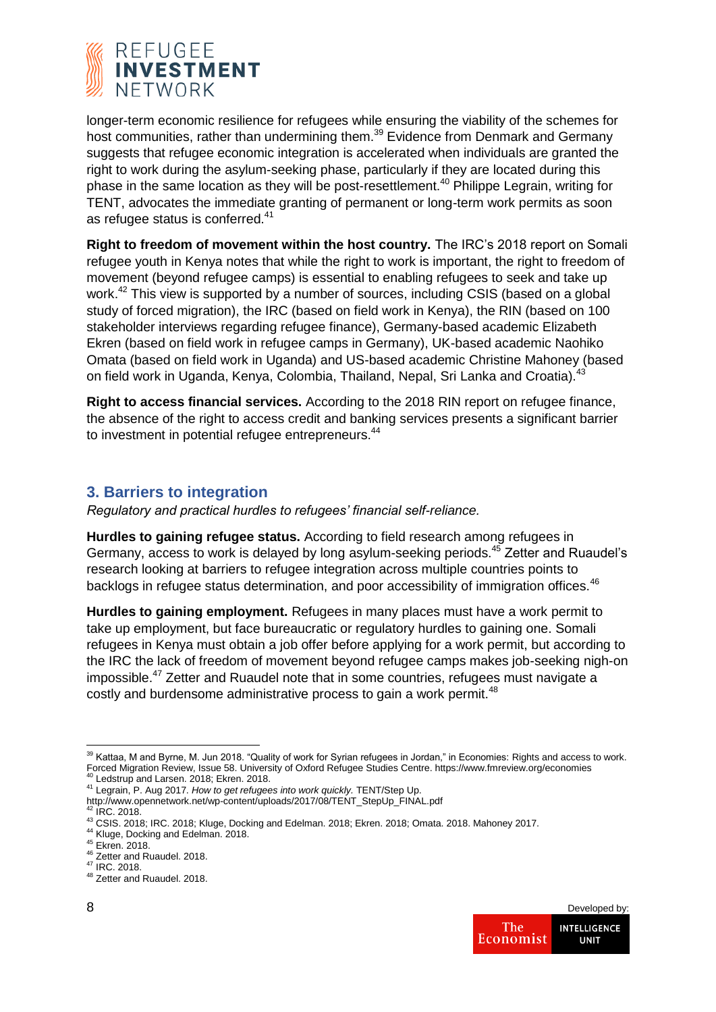

longer-term economic resilience for refugees while ensuring the viability of the schemes for host communities, rather than undermining them.<sup>39</sup> Evidence from Denmark and Germany suggests that refugee economic integration is accelerated when individuals are granted the right to work during the asylum-seeking phase, particularly if they are located during this phase in the same location as they will be post-resettlement.<sup>40</sup> Philippe Legrain, writing for TENT, advocates the immediate granting of permanent or long-term work permits as soon as refugee status is conferred.<sup>41</sup>

**Right to freedom of movement within the host country.** The IRC's 2018 report on Somali refugee youth in Kenya notes that while the right to work is important, the right to freedom of movement (beyond refugee camps) is essential to enabling refugees to seek and take up work.<sup>42</sup> This view is supported by a number of sources, including CSIS (based on a global study of forced migration), the IRC (based on field work in Kenya), the RIN (based on 100 stakeholder interviews regarding refugee finance), Germany-based academic Elizabeth Ekren (based on field work in refugee camps in Germany), UK-based academic Naohiko Omata (based on field work in Uganda) and US-based academic Christine Mahoney (based on field work in Uganda, Kenya, Colombia, Thailand, Nepal, Sri Lanka and Croatia).<sup>43</sup>

**Right to access financial services.** According to the 2018 RIN report on refugee finance, the absence of the right to access credit and banking services presents a significant barrier to investment in potential refugee entrepreneurs.<sup>44</sup>

## **3. Barriers to integration**

*Regulatory and practical hurdles to refugees' financial self-reliance.*

**Hurdles to gaining refugee status.** According to field research among refugees in Germany, access to work is delayed by long asylum-seeking periods.<sup>45</sup> Zetter and Ruaudel's research looking at barriers to refugee integration across multiple countries points to backlogs in refugee status determination, and poor accessibility of immigration offices.<sup>46</sup>

**Hurdles to gaining employment.** Refugees in many places must have a work permit to take up employment, but face bureaucratic or regulatory hurdles to gaining one. Somali refugees in Kenya must obtain a job offer before applying for a work permit, but according to the IRC the lack of freedom of movement beyond refugee camps makes job-seeking nigh-on impossible.<sup>47</sup> Zetter and Ruaudel note that in some countries, refugees must navigate a costly and burdensome administrative process to gain a work permit.<sup>48</sup>

<sup>1</sup>  $^{39}$  Kattaa, M and Byrne, M. Jun 2018. "Quality of work for Syrian refugees in Jordan," in Economies: Rights and access to work. Forced Migration Review, Issue 58. University of Oxford Refugee Studies Centre. https://www.fmreview.org/economies<br><sup>40</sup> Ledstrup and Larsen. 2018; Ekren. 2018.

<sup>41</sup> Legrain, P. Aug 2017. *How to get refugees into work quickly.* TENT/Step Up.

http://www.opennetwork.net/wp-content/uploads/2017/08/TENT\_StepUp\_FINAL.pdf <sup>42</sup> IRC. 2018.

<sup>43</sup> CSIS. 2018; IRC. 2018; Kluge, Docking and Edelman. 2018; Ekren. 2018; Omata. 2018. Mahoney 2017.

<sup>44</sup> Kluge, Docking and Edelman. 2018.

<sup>45</sup> Ekren. 2018.

<sup>46</sup> Zetter and Ruaudel. 2018. <sup>47</sup> IRC. 2018.

<sup>48</sup> Zetter and Ruaudel. 2018.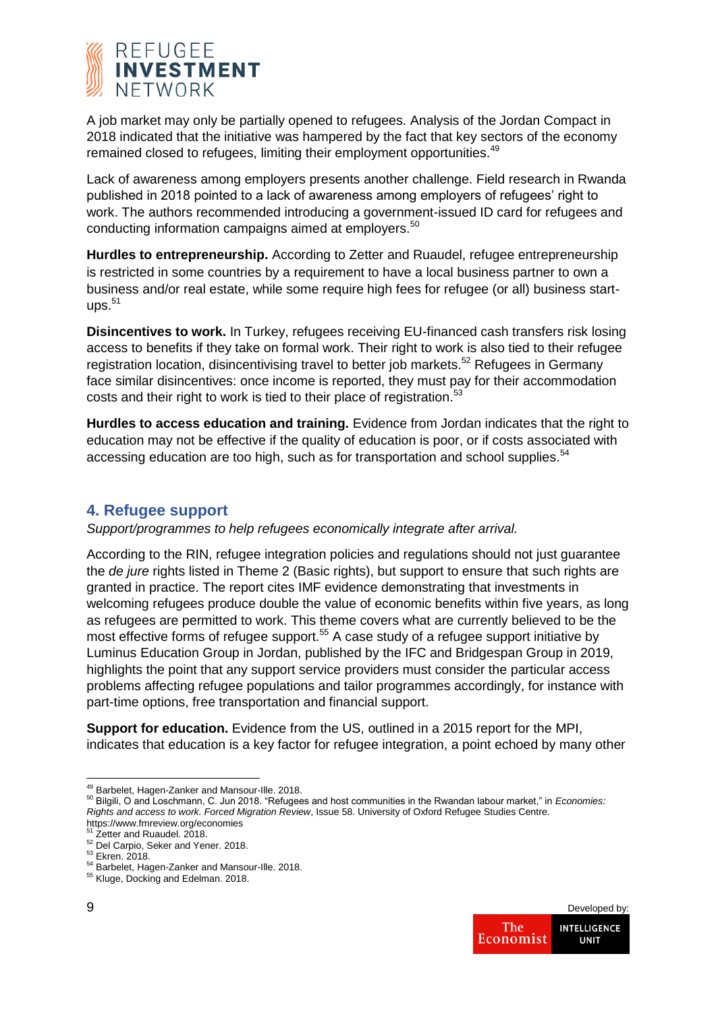

A job market may only be partially opened to refugees. Analysis of the Jordan Compact in 2018 indicated that the initiative was hampered by the fact that key sectors of the economy remained closed to refugees, limiting their employment opportunities.<sup>49</sup>

Lack of awareness among employers presents another challenge. Field research in Rwanda published in 2018 pointed to a lack of awareness among employers of refugees' right to work. The authors recommended introducing a government-issued ID card for refugees and conducting information campaigns aimed at employers.<sup>50</sup>

**Hurdles to entrepreneurship.** According to Zetter and Ruaudel, refugee entrepreneurship is restricted in some countries by a requirement to have a local business partner to own a business and/or real estate, while some require high fees for refugee (or all) business start- $\text{ups.}^{51}$ 

**Disincentives to work.** In Turkey, refugees receiving EU-financed cash transfers risk losing access to benefits if they take on formal work. Their right to work is also tied to their refugee registration location, disincentivising travel to better job markets.<sup>52</sup> Refugees in Germany face similar disincentives: once income is reported, they must pay for their accommodation costs and their right to work is tied to their place of registration.<sup>53</sup>

**Hurdles to access education and training.** Evidence from Jordan indicates that the right to education may not be effective if the quality of education is poor, or if costs associated with accessing education are too high, such as for transportation and school supplies.<sup>54</sup>

## **4. Refugee support**

*Support/programmes to help refugees economically integrate after arrival.*

According to the RIN, refugee integration policies and regulations should not just guarantee the *de jure* rights listed in Theme 2 (Basic rights), but support to ensure that such rights are granted in practice. The report cites IMF evidence demonstrating that investments in welcoming refugees produce double the value of economic benefits within five years, as long as refugees are permitted to work. This theme covers what are currently believed to be the most effective forms of refugee support.<sup>55</sup> A case study of a refugee support initiative by Luminus Education Group in Jordan, published by the IFC and Bridgespan Group in 2019, highlights the point that any support service providers must consider the particular access problems affecting refugee populations and tailor programmes accordingly, for instance with part-time options, free transportation and financial support.

**Support for education.** Evidence from the US, outlined in a 2015 report for the MPI, indicates that education is a key factor for refugee integration, a point echoed by many other

**<sup>.</sup>** <sup>49</sup> Barbelet, Hagen-Zanker and Mansour-Ille. 2018.

<sup>50</sup> Bilgili, O and Loschmann, C. Jun 2018. "Refugees and host communities in the Rwandan labour market," in *Economies: Rights and access to work. Forced Migration Review*, Issue 58. University of Oxford Refugee Studies Centre. https://www.fmreview.org/economies

<sup>&</sup>lt;sup>51</sup> Zetter and Ruaudel. 2018.

<sup>52</sup> Del Carpio, Seker and Yener. 2018.

<sup>53</sup> Ekren. 2018.

<sup>&</sup>lt;sup>54</sup> Barbelet, Hagen-Zanker and Mansour-Ille. 2018.

<sup>&</sup>lt;sup>55</sup> Kluge, Docking and Edelman. 2018.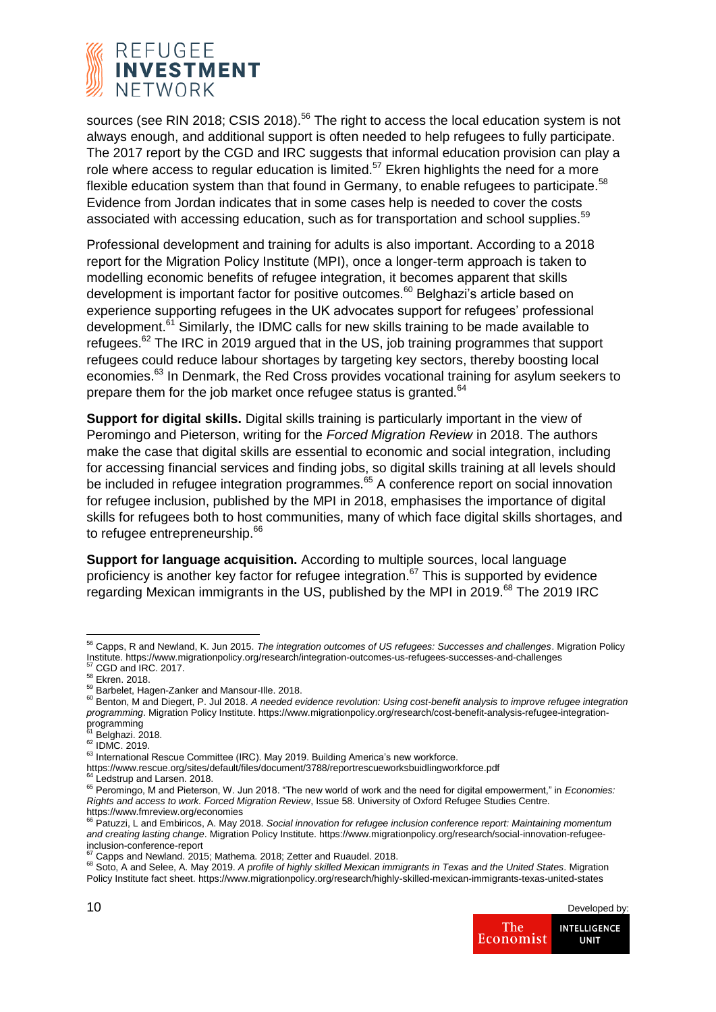

sources (see RIN 2018; CSIS 2018).<sup>56</sup> The right to access the local education system is not always enough, and additional support is often needed to help refugees to fully participate. The 2017 report by the CGD and IRC suggests that informal education provision can play a role where access to regular education is limited.<sup>57</sup> Ekren highlights the need for a more flexible education system than that found in Germany, to enable refugees to participate.<sup>58</sup> Evidence from Jordan indicates that in some cases help is needed to cover the costs associated with accessing education, such as for transportation and school supplies.<sup>59</sup>

Professional development and training for adults is also important. According to a 2018 report for the Migration Policy Institute (MPI), once a longer-term approach is taken to modelling economic benefits of refugee integration, it becomes apparent that skills development is important factor for positive outcomes.<sup>60</sup> Belghazi's article based on experience supporting refugees in the UK advocates support for refugees' professional development.<sup>61</sup> Similarly, the IDMC calls for new skills training to be made available to refugees.<sup>62</sup> The IRC in 2019 argued that in the US, job training programmes that support refugees could reduce labour shortages by targeting key sectors, thereby boosting local economies.<sup>63</sup> In Denmark, the Red Cross provides vocational training for asylum seekers to prepare them for the job market once refugee status is granted.<sup>64</sup>

**Support for digital skills.** Digital skills training is particularly important in the view of Peromingo and Pieterson, writing for the *Forced Migration Review* in 2018. The authors make the case that digital skills are essential to economic and social integration, including for accessing financial services and finding jobs, so digital skills training at all levels should be included in refugee integration programmes.<sup>65</sup> A conference report on social innovation for refugee inclusion, published by the MPI in 2018, emphasises the importance of digital skills for refugees both to host communities, many of which face digital skills shortages, and to refugee entrepreneurship.<sup>66</sup>

**Support for language acquisition.** According to multiple sources, local language proficiency is another key factor for refugee integration.<sup>67</sup> This is supported by evidence regarding Mexican immigrants in the US, published by the MPI in 2019.<sup>68</sup> The 2019 IRC

<sup>68</sup> Soto, A and Selee, A. May 2019. *A profile of highly skilled Mexican immigrants in Texas and the United States*. Migration Policy Institute fact sheet. https://www.migrationpolicy.org/research/highly-skilled-mexican-immigrants-texas-united-states



<sup>56</sup> Capps, R and Newland, K. Jun 2015. *The integration outcomes of US refugees: Successes and challenges*. Migration Policy Institute. https://www.migrationpolicy.org/research/integration-outcomes-us-refugees-successes-and-challenges CGD and IRC. 2017.

<sup>58</sup> Ekren. 2018.

<sup>59</sup> Barbelet, Hagen-Zanker and Mansour-Ille. 2018.

<sup>60</sup> Benton, M and Diegert, P. Jul 2018. A needed evidence revolution: Using cost-benefit analysis to improve refugee integration *programming*. Migration Policy Institute. https://www.migrationpolicy.org/research/cost-benefit-analysis-refugee-integration-

programming<br><sup>61</sup> Belghazi. 2018.

 $62$  IDMC. 2019.

<sup>63</sup> International Rescue Committee (IRC). May 2019. Building America's new workforce.

https://www.rescue.org/sites/default/files/document/3788/reportrescueworksbuidlingworkforce.pdf

<sup>&</sup>lt;sup>4</sup> Ledstrup and Larsen. 2018.

<sup>65</sup> Peromingo, M and Pieterson, W. Jun 2018. "The new world of work and the need for digital empowerment," in *Economies: Rights and access to work. Forced Migration Review*, Issue 58. University of Oxford Refugee Studies Centre.

https://www.fmreview.org/economies <sup>66</sup> Patuzzi, L and Embiricos, A. May 2018. *Social innovation for refugee inclusion conference report: Maintaining momentum and creating lasting change*. Migration Policy Institute. https://www.migrationpolicy.org/research/social-innovation-refugeeinclusion-conference-report

<sup>67</sup> Capps and Newland. 2015; Mathema. 2018; Zetter and Ruaudel. 2018.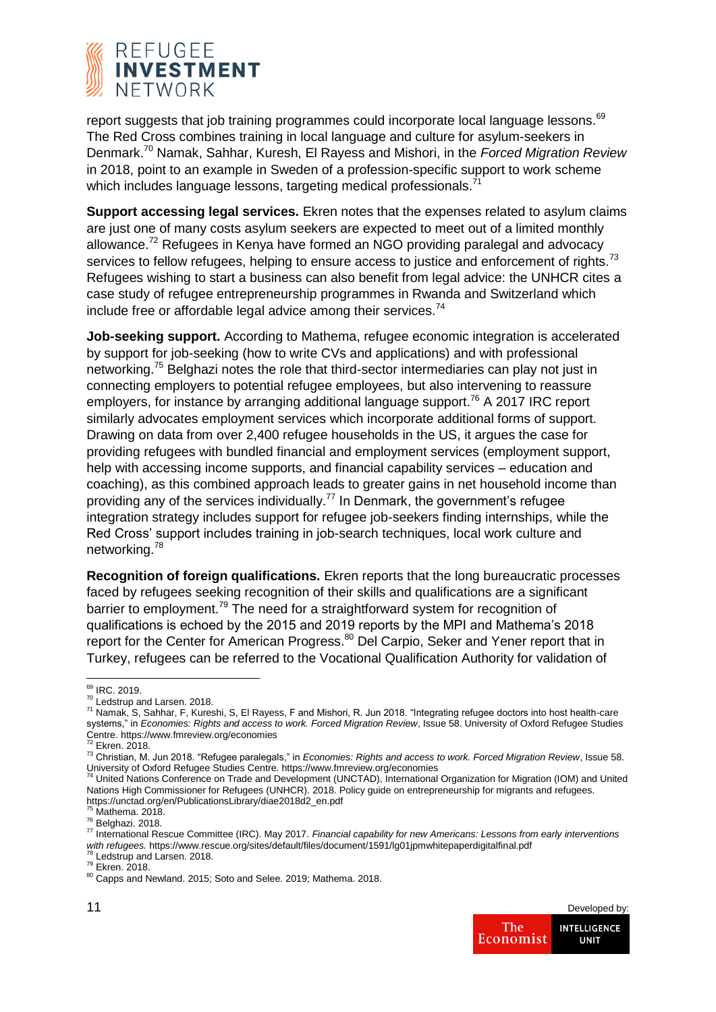

report suggests that job training programmes could incorporate local language lessons.<sup>69</sup> The Red Cross combines training in local language and culture for asylum-seekers in Denmark.<sup>70</sup> Namak, Sahhar, Kuresh, El Rayess and Mishori, in the *Forced Migration Review*  in 2018, point to an example in Sweden of a profession-specific support to work scheme which includes language lessons, targeting medical professionals.<sup>71</sup>

**Support accessing legal services.** Ekren notes that the expenses related to asylum claims are just one of many costs asylum seekers are expected to meet out of a limited monthly allowance.<sup>72</sup> Refugees in Kenya have formed an NGO providing paralegal and advocacy services to fellow refugees, helping to ensure access to justice and enforcement of rights.<sup>73</sup> Refugees wishing to start a business can also benefit from legal advice: the UNHCR cites a case study of refugee entrepreneurship programmes in Rwanda and Switzerland which include free or affordable legal advice among their services.<sup>74</sup>

**Job-seeking support.** According to Mathema, refugee economic integration is accelerated by support for job-seeking (how to write CVs and applications) and with professional networking.<sup>75</sup> Belghazi notes the role that third-sector intermediaries can play not just in connecting employers to potential refugee employees, but also intervening to reassure employers, for instance by arranging additional language support.<sup>76</sup> A 2017 IRC report similarly advocates employment services which incorporate additional forms of support. Drawing on data from over 2,400 refugee households in the US, it argues the case for providing refugees with bundled financial and employment services (employment support, help with accessing income supports, and financial capability services – education and coaching), as this combined approach leads to greater gains in net household income than providing any of the services individually.<sup>77</sup> In Denmark, the government's refugee integration strategy includes support for refugee job-seekers finding internships, while the Red Cross' support includes training in job-search techniques, local work culture and networking.<sup>78</sup>

**Recognition of foreign qualifications.** Ekren reports that the long bureaucratic processes faced by refugees seeking recognition of their skills and qualifications are a significant barrier to employment.<sup>79</sup> The need for a straightforward system for recognition of qualifications is echoed by the 2015 and 2019 reports by the MPI and Mathema's 2018 report for the Center for American Progress.<sup>80</sup> Del Carpio, Seker and Yener report that in Turkey, refugees can be referred to the Vocational Qualification Authority for validation of

 $<sup>8</sup>$  Ledstrup and Larsen. 2018.</sup>

<sup>80</sup> Capps and Newland. 2015; Soto and Selee. 2019; Mathema. 2018.



**<sup>.</sup>** <sup>69</sup> IRC. 2019.

<sup>&</sup>lt;sup>70</sup> Ledstrup and Larsen. 2018.

<sup>71</sup> Namak, S, Sahhar, F, Kureshi, S, El Rayess, F and Mishori, R. Jun 2018. "Integrating refugee doctors into host health-care systems," in *Economies: Rights and access to work. Forced Migration Review*, Issue 58. University of Oxford Refugee Studies Centre. https://www.fmreview.org/economies<br><sup>72</sup> Ekren. 2018.

<sup>73</sup> Christian, M. Jun 2018. "Refugee paralegals," in *Economies: Rights and access to work. Forced Migration Review*, Issue 58. University of Oxford Refugee Studies Centre. https://www.fmreview.org/economies

<sup>&</sup>lt;sup>4</sup> United Nations Conference on Trade and Development (UNCTAD), International Organization for Migration (IOM) and United Nations High Commissioner for Refugees (UNHCR). 2018. Policy guide on entrepreneurship for migrants and refugees. https://unctad.org/en/PublicationsLibrary/diae2018d2\_en.pdf

 $<sup>5</sup>$  Mathema. 2018.</sup>

<sup>76</sup> Belghazi. 2018.

<sup>77</sup> International Rescue Committee (IRC). May 2017. *Financial capability for new Americans: Lessons from early interventions*  with refugees. https://www.rescue.org/sites/default/files/document/1591/lg01jpmwhitepaperdigitalfinal.pdf

<sup>79</sup> Ekren. 2018.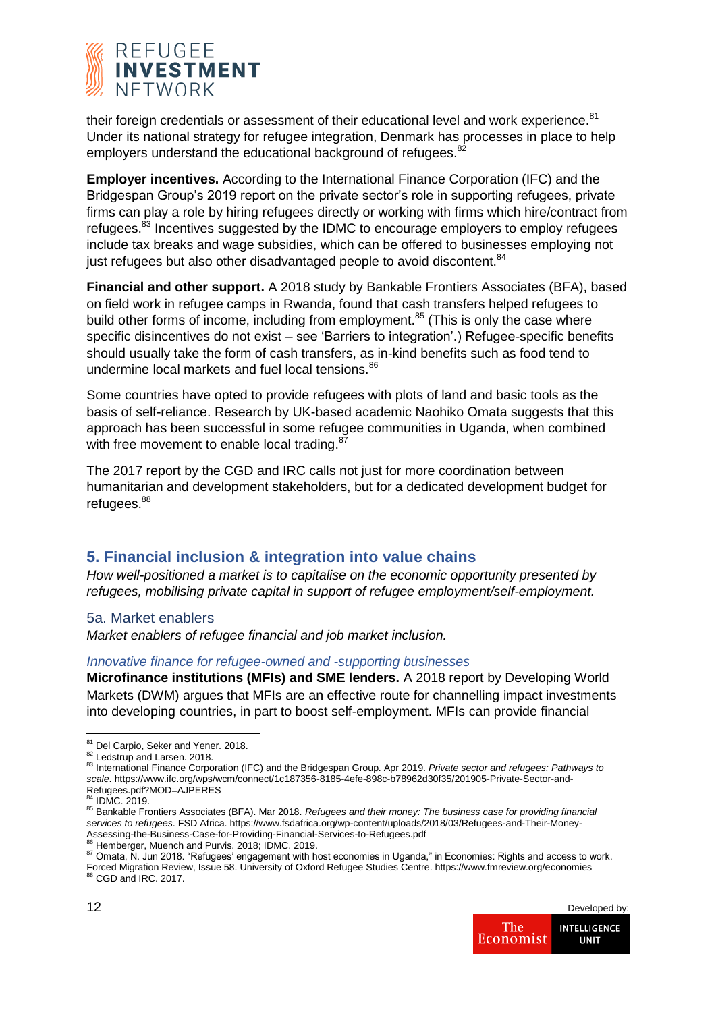

their foreign credentials or assessment of their educational level and work experience.<sup>81</sup> Under its national strategy for refugee integration, Denmark has processes in place to help employers understand the educational background of refugees.<sup>82</sup>

**Employer incentives.** According to the International Finance Corporation (IFC) and the Bridgespan Group's 2019 report on the private sector's role in supporting refugees, private firms can play a role by hiring refugees directly or working with firms which hire/contract from refugees.<sup>83</sup> Incentives suggested by the IDMC to encourage employers to employ refugees include tax breaks and wage subsidies, which can be offered to businesses employing not just refugees but also other disadvantaged people to avoid discontent.<sup>84</sup>

**Financial and other support.** A 2018 study by Bankable Frontiers Associates (BFA), based on field work in refugee camps in Rwanda, found that cash transfers helped refugees to build other forms of income, including from employment.<sup>85</sup> (This is only the case where specific disincentives do not exist – see 'Barriers to integration'.) Refugee-specific benefits should usually take the form of cash transfers, as in-kind benefits such as food tend to undermine local markets and fuel local tensions.<sup>86</sup>

Some countries have opted to provide refugees with plots of land and basic tools as the basis of self-reliance. Research by UK-based academic Naohiko Omata suggests that this approach has been successful in some refugee communities in Uganda, when combined with free movement to enable local trading.<sup>87</sup>

The 2017 report by the CGD and IRC calls not just for more coordination between humanitarian and development stakeholders, but for a dedicated development budget for refugees.<sup>88</sup>

## **5. Financial inclusion & integration into value chains**

*How well-positioned a market is to capitalise on the economic opportunity presented by refugees, mobilising private capital in support of refugee employment/self-employment.*

5a. Market enablers

*Market enablers of refugee financial and job market inclusion.*

#### *Innovative finance for refugee-owned and -supporting businesses*

**Microfinance institutions (MFIs) and SME lenders.** A 2018 report by Developing World Markets (DWM) argues that MFIs are an effective route for channelling impact investments into developing countries, in part to boost self-employment. MFIs can provide financial

 $\delta$  Hemberger, Muench and Purvis. 2018; IDMC. 2019.

87 Omata, N. Jun 2018. "Refugees' engagement with host economies in Uganda," in Economies: Rights and access to work. Forced Migration Review, Issue 58. University of Oxford Refugee Studies Centre. https://www.fmreview.org/economies<br><sup>88</sup> CGD and IRC. 2017.



**<sup>.</sup>** <sup>81</sup> Del Carpio, Seker and Yener. 2018.

<sup>82</sup> Ledstrup and Larsen. 2018.

<sup>83</sup> International Finance Corporation (IFC) and the Bridgespan Group. Apr 2019. Private sector and refugees: Pathways to *scale*. https://www.ifc.org/wps/wcm/connect/1c187356-8185-4efe-898c-b78962d30f35/201905-Private-Sector-and-Refugees.pdf?MOD=AJPERES <sup>84</sup> IDMC. 2019.

<sup>85</sup> Bankable Frontiers Associates (BFA). Mar 2018. *Refugees and their money: The business case for providing financial services to refugees*. FSD Africa. https://www.fsdafrica.org/wp-content/uploads/2018/03/Refugees-and-Their-Money-Assessing-the-Business-Case-for-Providing-Financial-Services-to-Refugees.pdf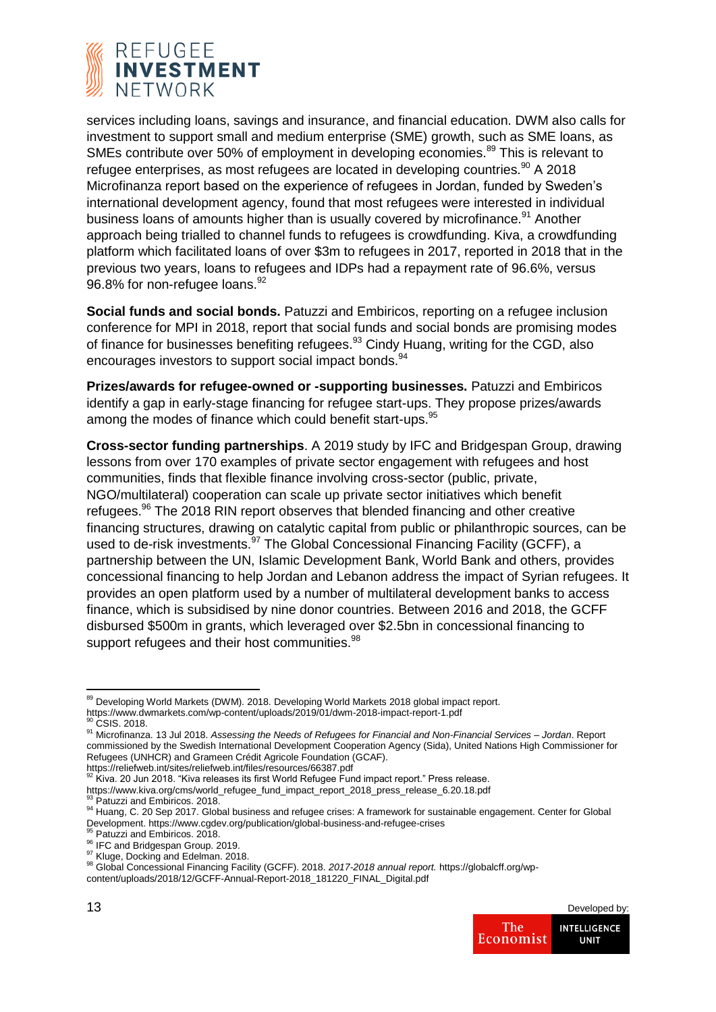

services including loans, savings and insurance, and financial education. DWM also calls for investment to support small and medium enterprise (SME) growth, such as SME loans, as SMEs contribute over 50% of employment in developing economies.<sup>89</sup> This is relevant to refugee enterprises, as most refugees are located in developing countries. $90$  A 2018 Microfinanza report based on the experience of refugees in Jordan, funded by Sweden's international development agency, found that most refugees were interested in individual business loans of amounts higher than is usually covered by microfinance.<sup>91</sup> Another approach being trialled to channel funds to refugees is crowdfunding. Kiva, a crowdfunding platform which facilitated loans of over \$3m to refugees in 2017, reported in 2018 that in the previous two years, loans to refugees and IDPs had a repayment rate of 96.6%, versus 96.8% for non-refugee loans.<sup>92</sup>

**Social funds and social bonds.** Patuzzi and Embiricos, reporting on a refugee inclusion conference for MPI in 2018, report that social funds and social bonds are promising modes of finance for businesses benefiting refugees.<sup>93</sup> Cindy Huang, writing for the CGD, also encourages investors to support social impact bonds.<sup>94</sup>

**Prizes/awards for refugee-owned or -supporting businesses.** Patuzzi and Embiricos identify a gap in early-stage financing for refugee start-ups. They propose prizes/awards among the modes of finance which could benefit start-ups.<sup>95</sup>

**Cross-sector funding partnerships**. A 2019 study by IFC and Bridgespan Group, drawing lessons from over 170 examples of private sector engagement with refugees and host communities, finds that flexible finance involving cross-sector (public, private, NGO/multilateral) cooperation can scale up private sector initiatives which benefit refugees.<sup>96</sup> The 2018 RIN report observes that blended financing and other creative financing structures, drawing on catalytic capital from public or philanthropic sources, can be used to de-risk investments.<sup>97</sup> The Global Concessional Financing Facility (GCFF), a partnership between the UN, Islamic Development Bank, World Bank and others, provides concessional financing to help Jordan and Lebanon address the impact of Syrian refugees. It provides an open platform used by a number of multilateral development banks to access finance, which is subsidised by nine donor countries. Between 2016 and 2018, the GCFF disbursed \$500m in grants, which leveraged over \$2.5bn in concessional financing to support refugees and their host communities.<sup>98</sup>

https://reliefweb.int/sites/reliefweb.int/files/resources/66387.pdf<br><sup>92</sup> Kiva. 20 Jun 2018. "Kiva releases its first World Refugee Fund impact report." Press release.

content/uploads/2018/12/GCFF-Annual-Report-2018\_181220\_FINAL\_Digital.pdf



<sup>1</sup> <sup>89</sup> Developing World Markets (DWM). 2018. Developing World Markets 2018 global impact report. https://www.dwmarkets.com/wp-content/uploads/2019/01/dwm-2018-impact-report-1.pdf

CSIS 2018

<sup>91</sup> Microfinanza. 13 Jul 2018. *Assessing the Needs of Refugees for Financial and Non-Financial Services – Jordan*. Report commissioned by the Swedish International Development Cooperation Agency (Sida), United Nations High Commissioner for Refugees (UNHCR) and Grameen Crédit Agricole Foundation (GCAF).

https://www.kiva.org/cms/world\_refugee\_fund\_impact\_report\_2018\_press\_release\_6.20.18.pdf<br><sup>93</sup> Patuzzi and Embiricos. 2018.

<sup>94</sup> Huang, C. 20 Sep 2017. Global business and refugee crises: A framework for sustainable engagement. Center for Global Development. https://www.cgdev.org/publication/global-business-and-refugee-crises

<sup>&</sup>lt;sup>95</sup> Patuzzi and Embiricos. 2018.

<sup>96</sup> IFC and Bridgespan Group. 2019.

<sup>&</sup>lt;sup>97</sup> Kluge, Docking and Edelman. 2018.

<sup>98</sup> Global Concessional Financing Facility (GCFF). 2018. *2017-2018 annual report.* https://globalcff.org/wp-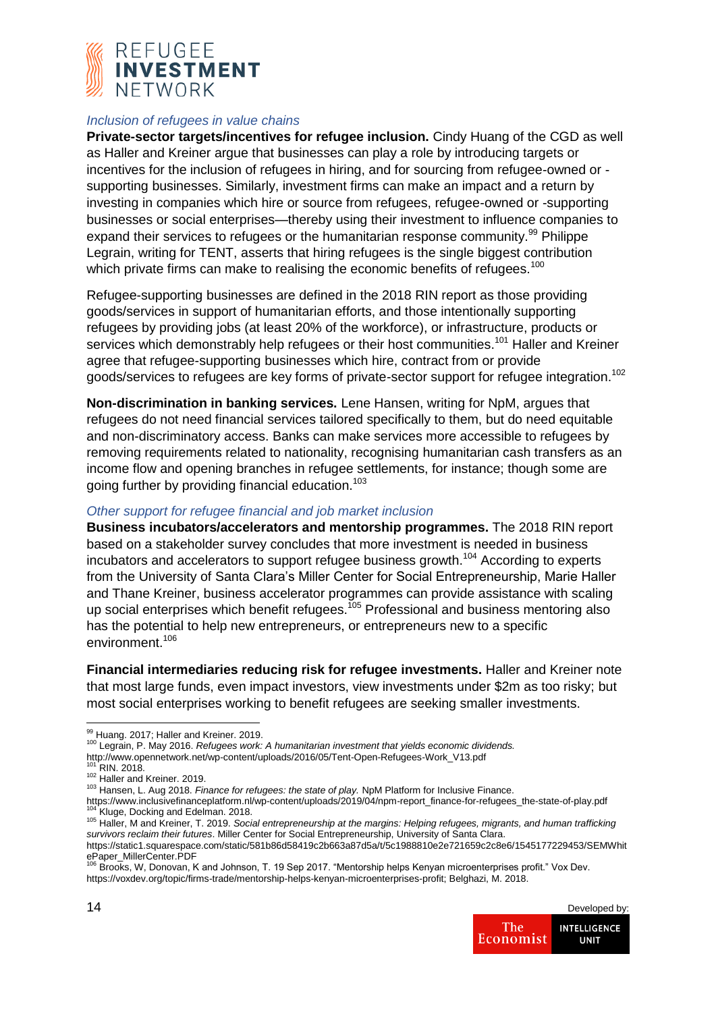

#### *Inclusion of refugees in value chains*

**Private-sector targets/incentives for refugee inclusion.** Cindy Huang of the CGD as well as Haller and Kreiner argue that businesses can play a role by introducing targets or incentives for the inclusion of refugees in hiring, and for sourcing from refugee-owned or supporting businesses. Similarly, investment firms can make an impact and a return by investing in companies which hire or source from refugees, refugee-owned or -supporting businesses or social enterprises—thereby using their investment to influence companies to expand their services to refugees or the humanitarian response community.<sup>99</sup> Philippe Legrain, writing for TENT, asserts that hiring refugees is the single biggest contribution which private firms can make to realising the economic benefits of refugees.<sup>100</sup>

Refugee-supporting businesses are defined in the 2018 RIN report as those providing goods/services in support of humanitarian efforts, and those intentionally supporting refugees by providing jobs (at least 20% of the workforce), or infrastructure, products or services which demonstrably help refugees or their host communities.<sup>101</sup> Haller and Kreiner agree that refugee-supporting businesses which hire, contract from or provide goods/services to refugees are key forms of private-sector support for refugee integration.<sup>102</sup>

**Non-discrimination in banking services.** Lene Hansen, writing for NpM, argues that refugees do not need financial services tailored specifically to them, but do need equitable and non-discriminatory access. Banks can make services more accessible to refugees by removing requirements related to nationality, recognising humanitarian cash transfers as an income flow and opening branches in refugee settlements, for instance; though some are going further by providing financial education.<sup>103</sup>

#### *Other support for refugee financial and job market inclusion*

**Business incubators/accelerators and mentorship programmes.** The 2018 RIN report based on a stakeholder survey concludes that more investment is needed in business incubators and accelerators to support refugee business growth.<sup>104</sup> According to experts from the University of Santa Clara's Miller Center for Social Entrepreneurship, Marie Haller and Thane Kreiner, business accelerator programmes can provide assistance with scaling up social enterprises which benefit refugees.<sup>105</sup> Professional and business mentoring also has the potential to help new entrepreneurs, or entrepreneurs new to a specific environment.<sup>106</sup>

**Financial intermediaries reducing risk for refugee investments.** Haller and Kreiner note that most large funds, even impact investors, view investments under \$2m as too risky; but most social enterprises working to benefit refugees are seeking smaller investments.

**<sup>.</sup>** 99 Huang. 2017; Haller and Kreiner. 2019.

<sup>100</sup> Legrain, P. May 2016. *Refugees work: A humanitarian investment that yields economic dividends.* 

http://www.opennetwork.net/wp-content/uploads/2016/05/Tent-Open-Refugees-Work\_V13.pdf

 $^1$  RIN. 2018.

<sup>102</sup> Haller and Kreiner. 2019.

<sup>103</sup> Hansen, L. Aug 2018. *Finance for refugees: the state of play.* NpM Platform for Inclusive Finance.

https://www.inclusivefinanceplatform.nl/wp-content/uploads/2019/04/npm-report\_finance-for-refugees\_the-state-of-play.pdf Kluge, Docking and Edelman. 2018.

<sup>105</sup> Haller, M and Kreiner, T. 2019. *Social entrepreneurship at the margins: Helping refugees, migrants, and human trafficking survivors reclaim their futures*. Miller Center for Social Entrepreneurship, University of Santa Clara.

https://static1.squarespace.com/static/581b86d58419c2b663a87d5a/t/5c1988810e2e721659c2c8e6/1545177229453/SEMWhit ePaper\_MillerCenter.PDF<br><sup>106</sup> Brooks, W, Donovan, K and Johnson, T. 19 Sep 2017. "Mentorship helps Kenyan microenterprises profit." Vox Dev.

https://voxdev.org/topic/firms-trade/mentorship-helps-kenyan-microenterprises-profit; Belghazi, M. 2018.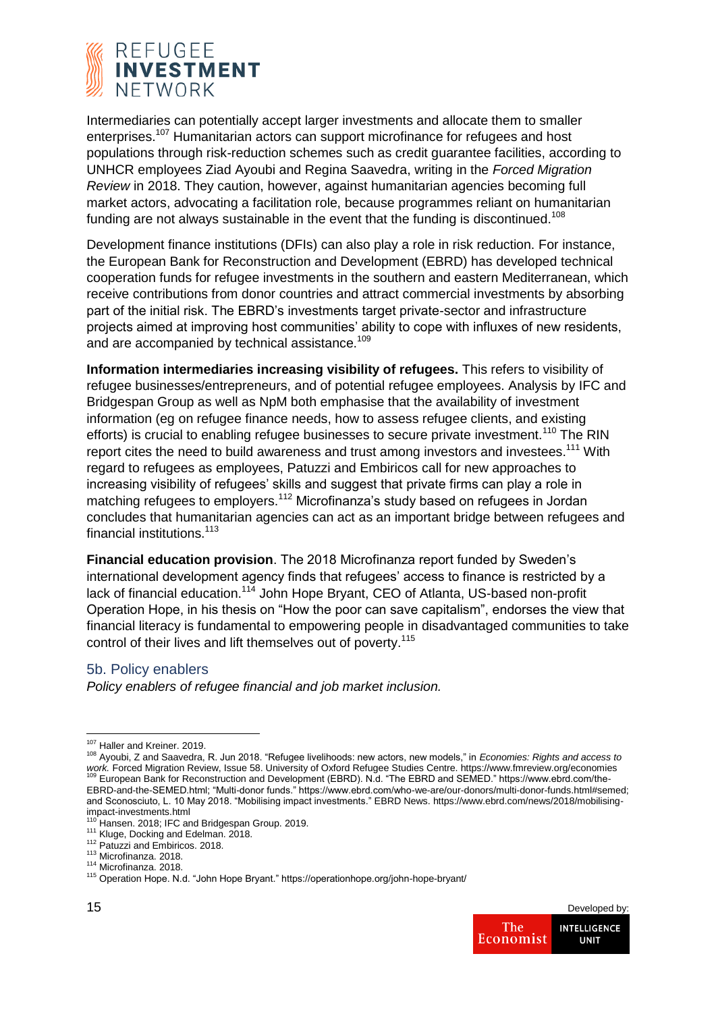

Intermediaries can potentially accept larger investments and allocate them to smaller enterprises.<sup>107</sup> Humanitarian actors can support microfinance for refugees and host populations through risk-reduction schemes such as credit guarantee facilities, according to UNHCR employees Ziad Ayoubi and Regina Saavedra, writing in the *Forced Migration Review* in 2018. They caution, however, against humanitarian agencies becoming full market actors, advocating a facilitation role, because programmes reliant on humanitarian funding are not always sustainable in the event that the funding is discontinued.<sup>108</sup>

Development finance institutions (DFIs) can also play a role in risk reduction. For instance, the European Bank for Reconstruction and Development (EBRD) has developed technical cooperation funds for refugee investments in the southern and eastern Mediterranean, which receive contributions from donor countries and attract commercial investments by absorbing part of the initial risk. The EBRD's investments target private-sector and infrastructure projects aimed at improving host communities' ability to cope with influxes of new residents, and are accompanied by technical assistance.<sup>109</sup>

**Information intermediaries increasing visibility of refugees.** This refers to visibility of refugee businesses/entrepreneurs, and of potential refugee employees. Analysis by IFC and Bridgespan Group as well as NpM both emphasise that the availability of investment information (eg on refugee finance needs, how to assess refugee clients, and existing efforts) is crucial to enabling refugee businesses to secure private investment.<sup>110</sup> The RIN report cites the need to build awareness and trust among investors and investees.<sup>111</sup> With regard to refugees as employees, Patuzzi and Embiricos call for new approaches to increasing visibility of refugees' skills and suggest that private firms can play a role in matching refugees to employers.<sup>112</sup> Microfinanza's study based on refugees in Jordan concludes that humanitarian agencies can act as an important bridge between refugees and financial institutions.<sup>113</sup>

**Financial education provision**. The 2018 Microfinanza report funded by Sweden's international development agency finds that refugees' access to finance is restricted by a lack of financial education.<sup>114</sup> John Hope Bryant, CEO of Atlanta, US-based non-profit Operation Hope, in his thesis on "How the poor can save capitalism", endorses the view that financial literacy is fundamental to empowering people in disadvantaged communities to take control of their lives and lift themselves out of poverty.<sup>115</sup>

## 5b. Policy enablers

*Policy enablers of refugee financial and job market inclusion.*

**<sup>.</sup>** <sup>107</sup> Haller and Kreiner. 2019.

<sup>108</sup> Ayoubi, Z and Saavedra, R. Jun 2018. "Refugee livelihoods: new actors, new models," in *Economies: Rights and access to*  work. Forced Migration Review, Issue 58. University of Oxford Refugee Studies Centre. https://www.fmreview.org/economies<br><sup>109</sup> European Bank for Reconstruction and Development (EBRD). N.d. "The EBRD and SEMED." https://www EBRD-and-the-SEMED.html; "Multi-donor funds." https://www.ebrd.com/who-we-are/our-donors/multi-donor-funds.html#semed; and Sconosciuto, L. 10 May 2018. "Mobilising impact investments." EBRD News. https://www.ebrd.com/news/2018/mobilising-

impact-investments.html <sup>110</sup> Hansen. 2018; IFC and Bridgespan Group. 2019.

<sup>111</sup> Kluge, Docking and Edelman. 2018.

<sup>112</sup> Patuzzi and Embiricos. 2018.

<sup>113</sup> Microfinanza. 2018.

<sup>114</sup> Microfinanza. 2018.

<sup>115</sup> Operation Hope. N.d. "John Hope Bryant." https://operationhope.org/john-hope-bryant/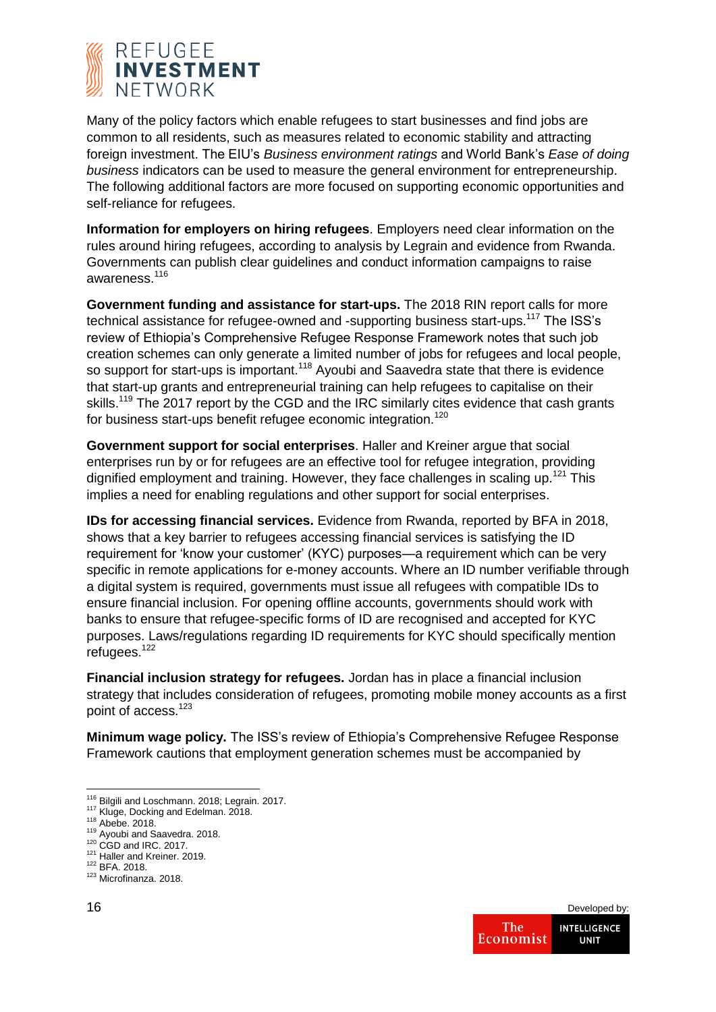

Many of the policy factors which enable refugees to start businesses and find jobs are common to all residents, such as measures related to economic stability and attracting foreign investment. The EIU's *Business environment ratings* and World Bank's *Ease of doing business* indicators can be used to measure the general environment for entrepreneurship. The following additional factors are more focused on supporting economic opportunities and self-reliance for refugees.

**Information for employers on hiring refugees**. Employers need clear information on the rules around hiring refugees, according to analysis by Legrain and evidence from Rwanda. Governments can publish clear guidelines and conduct information campaigns to raise awareness.<sup>116</sup>

**Government funding and assistance for start-ups.** The 2018 RIN report calls for more technical assistance for refugee-owned and -supporting business start-ups.<sup>117</sup> The ISS's review of Ethiopia's Comprehensive Refugee Response Framework notes that such job creation schemes can only generate a limited number of jobs for refugees and local people, so support for start-ups is important.<sup>118</sup> Ayoubi and Saavedra state that there is evidence that start-up grants and entrepreneurial training can help refugees to capitalise on their skills.<sup>119</sup> The 2017 report by the CGD and the IRC similarly cites evidence that cash grants for business start-ups benefit refugee economic integration.<sup>120</sup>

**Government support for social enterprises**. Haller and Kreiner argue that social enterprises run by or for refugees are an effective tool for refugee integration, providing dignified employment and training. However, they face challenges in scaling up.<sup>121</sup> This implies a need for enabling regulations and other support for social enterprises.

**IDs for accessing financial services.** Evidence from Rwanda, reported by BFA in 2018, shows that a key barrier to refugees accessing financial services is satisfying the ID requirement for 'know your customer' (KYC) purposes—a requirement which can be very specific in remote applications for e-money accounts. Where an ID number verifiable through a digital system is required, governments must issue all refugees with compatible IDs to ensure financial inclusion. For opening offline accounts, governments should work with banks to ensure that refugee-specific forms of ID are recognised and accepted for KYC purposes. Laws/regulations regarding ID requirements for KYC should specifically mention refugees.<sup>122</sup>

**Financial inclusion strategy for refugees.** Jordan has in place a financial inclusion strategy that includes consideration of refugees, promoting mobile money accounts as a first point of access.<sup>123</sup>

**Minimum wage policy.** The ISS's review of Ethiopia's Comprehensive Refugee Response Framework cautions that employment generation schemes must be accompanied by

<sup>121</sup> Haller and Kreiner. 2019.

1

<sup>&</sup>lt;sup>116</sup> Bilgili and Loschmann. 2018; Legrain. 2017.

<sup>&</sup>lt;sup>117</sup> Kluge, Docking and Edelman. 2018.

<sup>118</sup> Abebe. 2018.

<sup>119</sup> Ayoubi and Saavedra. 2018.

<sup>120</sup> CGD and IRC. 2017.

<sup>122</sup> BFA. 2018.

<sup>123</sup> Microfinanza. 2018.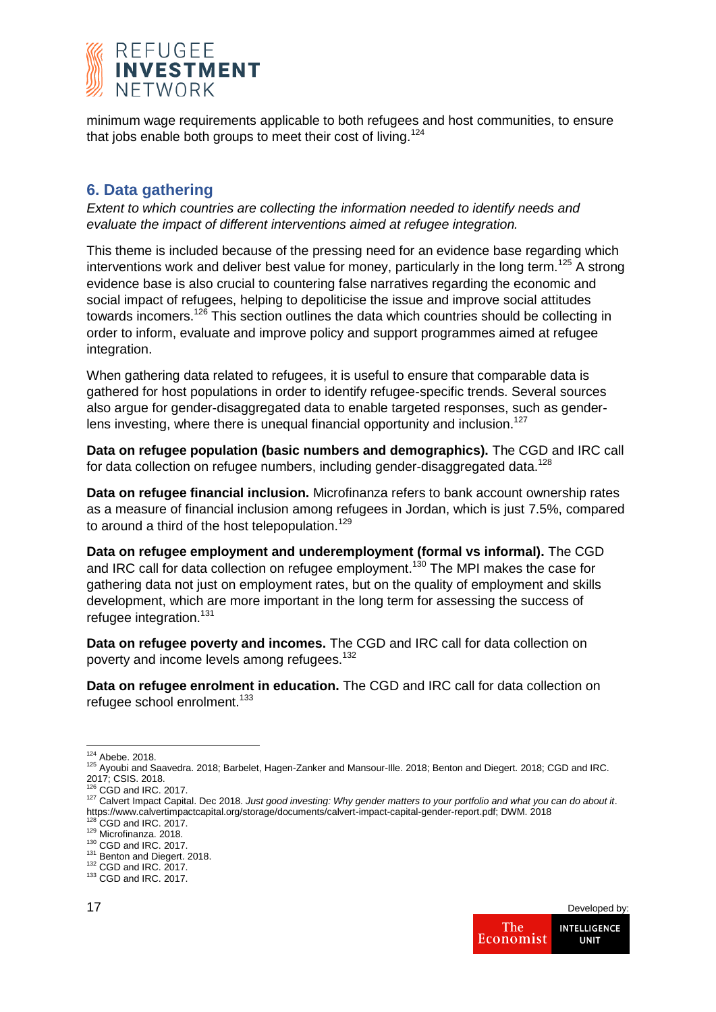

minimum wage requirements applicable to both refugees and host communities, to ensure that jobs enable both groups to meet their cost of living.<sup>124</sup>

## **6. Data gathering**

*Extent to which countries are collecting the information needed to identify needs and evaluate the impact of different interventions aimed at refugee integration.*

This theme is included because of the pressing need for an evidence base regarding which interventions work and deliver best value for money, particularly in the long term.<sup>125</sup> A strong evidence base is also crucial to countering false narratives regarding the economic and social impact of refugees, helping to depoliticise the issue and improve social attitudes towards incomers.<sup>126</sup> This section outlines the data which countries should be collecting in order to inform, evaluate and improve policy and support programmes aimed at refugee integration.

When gathering data related to refugees, it is useful to ensure that comparable data is gathered for host populations in order to identify refugee-specific trends. Several sources also argue for gender-disaggregated data to enable targeted responses, such as genderlens investing, where there is unequal financial opportunity and inclusion.<sup>127</sup>

**Data on refugee population (basic numbers and demographics).** The CGD and IRC call for data collection on refugee numbers, including gender-disaggregated data.<sup>128</sup>

**Data on refugee financial inclusion.** Microfinanza refers to bank account ownership rates as a measure of financial inclusion among refugees in Jordan, which is just 7.5%, compared to around a third of the host telepopulation.<sup>129</sup>

**Data on refugee employment and underemployment (formal vs informal).** The CGD and IRC call for data collection on refugee employment.<sup>130</sup> The MPI makes the case for gathering data not just on employment rates, but on the quality of employment and skills development, which are more important in the long term for assessing the success of refugee integration.<sup>131</sup>

**Data on refugee poverty and incomes.** The CGD and IRC call for data collection on poverty and income levels among refugees.<sup>132</sup>

**Data on refugee enrolment in education.** The CGD and IRC call for data collection on refugee school enrolment.<sup>133</sup>

<sup>1</sup> <sup>124</sup> Abebe. 2018.

<sup>125</sup> Ayoubi and Saavedra. 2018; Barbelet, Hagen-Zanker and Mansour-Ille. 2018; Benton and Diegert. 2018; CGD and IRC. 2017; CSIS. 2018.

 $6^{\circ}$  CGD and IRC. 2017.

<sup>127</sup> Calvert Impact Capital. Dec 2018. *Just good investing: Why gender matters to your portfolio and what you can do about it*. https://www.calvertimpactcapital.org/storage/documents/calvert-impact-capital-gender-report.pdf; DWM. 2018

 $CGD$  and IRC. 2017.

<sup>129</sup> Microfinanza. 2018.  $130$  CGD and IRC. 2017.

<sup>&</sup>lt;sup>131</sup> Benton and Diegert. 2018.  $132$  CGD and IRC.  $2017$ .

<sup>133</sup> CGD and IRC. 2017.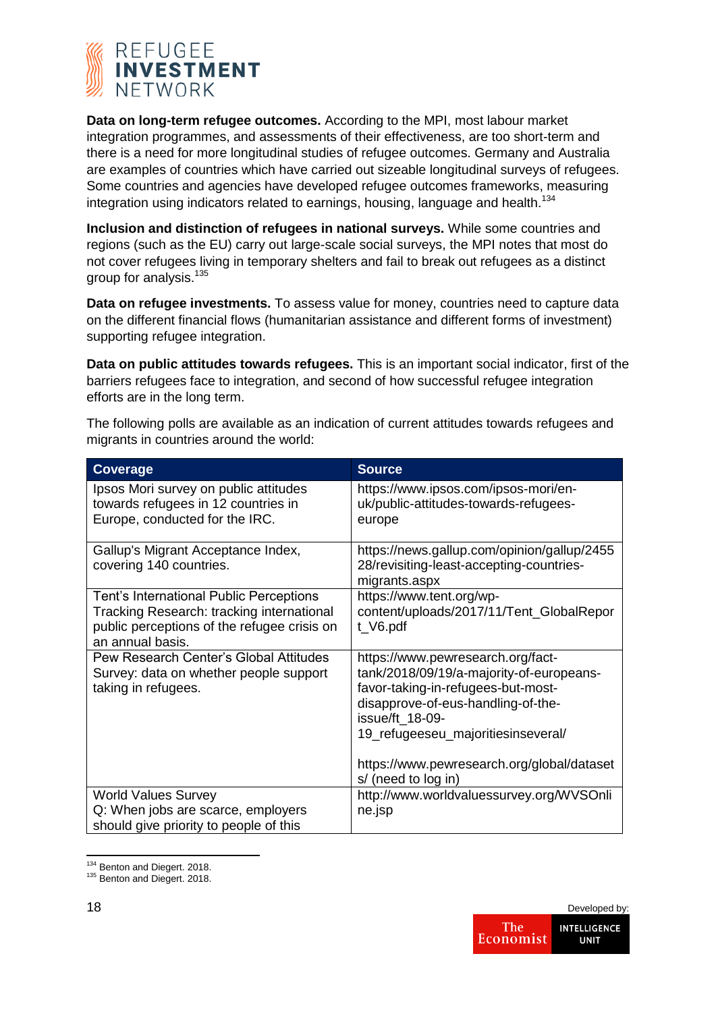

**Data on long-term refugee outcomes.** According to the MPI, most labour market integration programmes, and assessments of their effectiveness, are too short-term and there is a need for more longitudinal studies of refugee outcomes. Germany and Australia are examples of countries which have carried out sizeable longitudinal surveys of refugees. Some countries and agencies have developed refugee outcomes frameworks, measuring integration using indicators related to earnings, housing, language and health.<sup>134</sup>

**Inclusion and distinction of refugees in national surveys.** While some countries and regions (such as the EU) carry out large-scale social surveys, the MPI notes that most do not cover refugees living in temporary shelters and fail to break out refugees as a distinct group for analysis.<sup>135</sup>

**Data on refugee investments.** To assess value for money, countries need to capture data on the different financial flows (humanitarian assistance and different forms of investment) supporting refugee integration.

**Data on public attitudes towards refugees.** This is an important social indicator, first of the barriers refugees face to integration, and second of how successful refugee integration efforts are in the long term.

The following polls are available as an indication of current attitudes towards refugees and migrants in countries around the world:

| <b>Coverage</b>                                                                                                                                         | <b>Source</b>                                                                                                                                                                                                                                                                           |
|---------------------------------------------------------------------------------------------------------------------------------------------------------|-----------------------------------------------------------------------------------------------------------------------------------------------------------------------------------------------------------------------------------------------------------------------------------------|
| Ipsos Mori survey on public attitudes<br>towards refugees in 12 countries in<br>Europe, conducted for the IRC.                                          | https://www.ipsos.com/ipsos-mori/en-<br>uk/public-attitudes-towards-refugees-<br>europe                                                                                                                                                                                                 |
| Gallup's Migrant Acceptance Index,<br>covering 140 countries.                                                                                           | https://news.gallup.com/opinion/gallup/2455<br>28/revisiting-least-accepting-countries-<br>migrants.aspx                                                                                                                                                                                |
| Tent's International Public Perceptions<br>Tracking Research: tracking international<br>public perceptions of the refugee crisis on<br>an annual basis. | https://www.tent.org/wp-<br>content/uploads/2017/11/Tent_GlobalRepor<br>t_V6.pdf                                                                                                                                                                                                        |
| Pew Research Center's Global Attitudes<br>Survey: data on whether people support<br>taking in refugees.                                                 | https://www.pewresearch.org/fact-<br>tank/2018/09/19/a-majority-of-europeans-<br>favor-taking-in-refugees-but-most-<br>disapprove-of-eus-handling-of-the-<br>issue/ft 18-09-<br>19_refugeeseu_majoritiesinseveral/<br>https://www.pewresearch.org/global/dataset<br>s/ (need to log in) |
| <b>World Values Survey</b><br>Q: When jobs are scarce, employers<br>should give priority to people of this                                              | http://www.worldvaluessurvey.org/WVSOnli<br>ne.jsp                                                                                                                                                                                                                                      |

 $\overline{a}$ <sup>134</sup> Benton and Diegert. 2018.

<sup>135</sup> Benton and Diegert. 2018.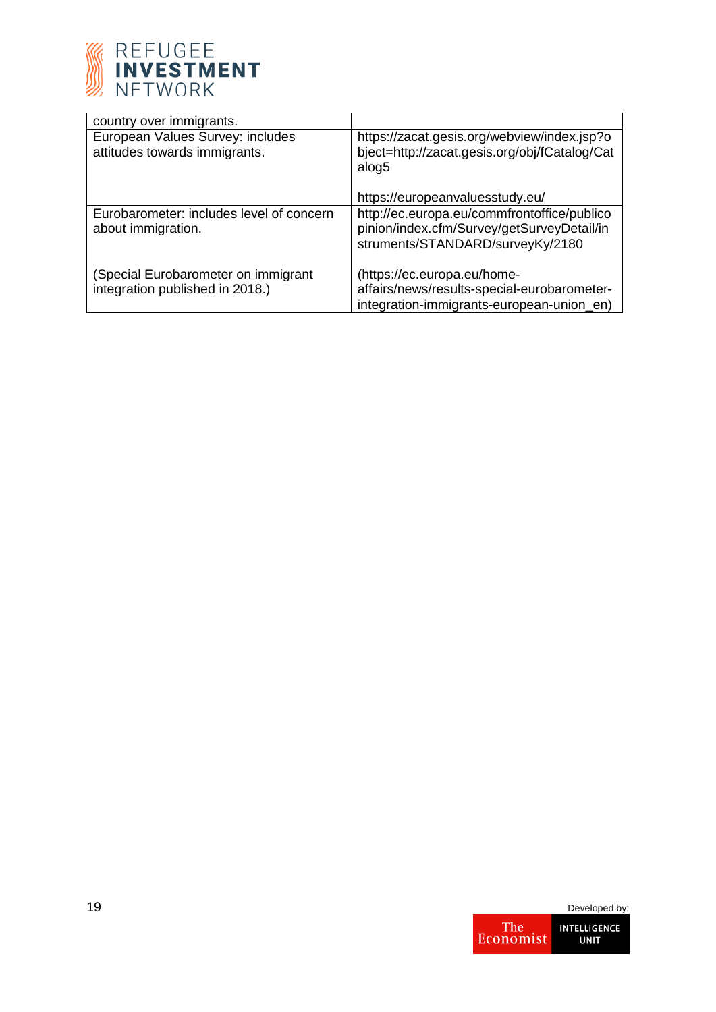

| country over immigrants.                                               |                                                                                                                               |
|------------------------------------------------------------------------|-------------------------------------------------------------------------------------------------------------------------------|
| European Values Survey: includes<br>attitudes towards immigrants.      | https://zacat.gesis.org/webview/index.jsp?o<br>bject=http://zacat.gesis.org/obj/fCatalog/Cat<br>alog5                         |
|                                                                        | https://europeanvaluesstudy.eu/                                                                                               |
| Eurobarometer: includes level of concern<br>about immigration.         | http://ec.europa.eu/commfrontoffice/publico<br>pinion/index.cfm/Survey/getSurveyDetail/in<br>struments/STANDARD/surveyKy/2180 |
| (Special Eurobarometer on immigrant<br>integration published in 2018.) | (https://ec.europa.eu/home-<br>affairs/news/results-special-eurobarometer-<br>integration-immigrants-european-union_en)       |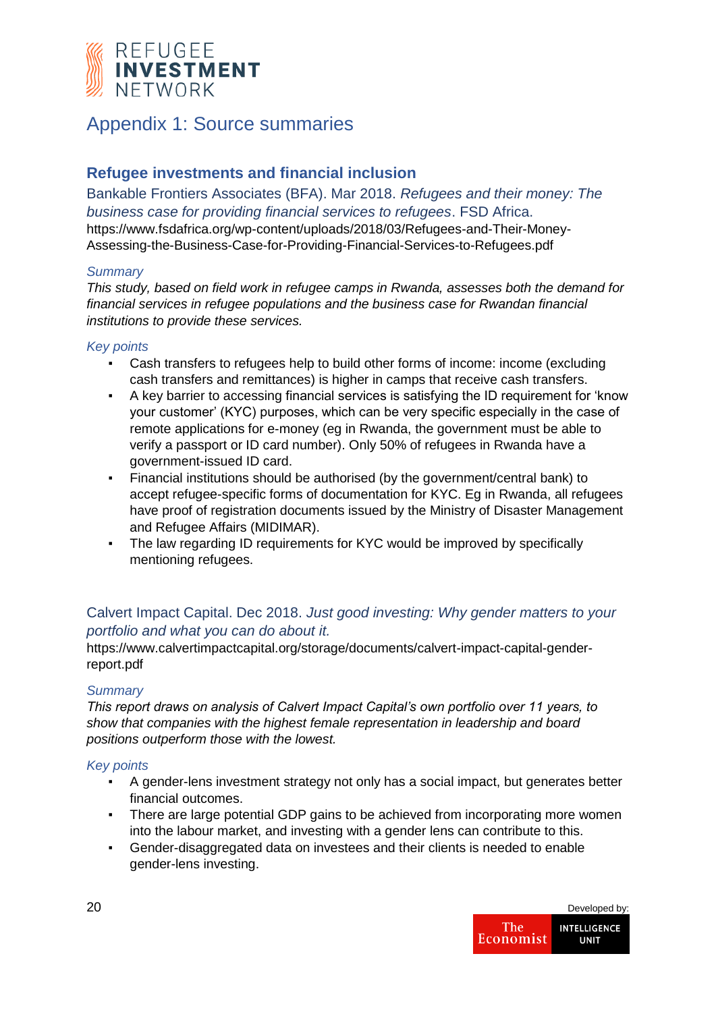

# Appendix 1: Source summaries

## **Refugee investments and financial inclusion**

Bankable Frontiers Associates (BFA). Mar 2018. *Refugees and their money: The business case for providing financial services to refugees*. FSD Africa. https://www.fsdafrica.org/wp-content/uploads/2018/03/Refugees-and-Their-Money-Assessing-the-Business-Case-for-Providing-Financial-Services-to-Refugees.pdf

## *Summary*

*This study, based on field work in refugee camps in Rwanda, assesses both the demand for financial services in refugee populations and the business case for Rwandan financial institutions to provide these services.*

## *Key points*

- Cash transfers to refugees help to build other forms of income: income (excluding cash transfers and remittances) is higher in camps that receive cash transfers.
- A key barrier to accessing financial services is satisfying the ID requirement for 'know your customer' (KYC) purposes, which can be very specific especially in the case of remote applications for e-money (eg in Rwanda, the government must be able to verify a passport or ID card number). Only 50% of refugees in Rwanda have a government-issued ID card.
- Financial institutions should be authorised (by the government/central bank) to accept refugee-specific forms of documentation for KYC. Eg in Rwanda, all refugees have proof of registration documents issued by the Ministry of Disaster Management and Refugee Affairs (MIDIMAR).
- The law regarding ID requirements for KYC would be improved by specifically mentioning refugees.

## Calvert Impact Capital. Dec 2018. *Just good investing: Why gender matters to your portfolio and what you can do about it.*

https://www.calvertimpactcapital.org/storage/documents/calvert-impact-capital-genderreport.pdf

## *Summary*

*This report draws on analysis of Calvert Impact Capital's own portfolio over 11 years, to show that companies with the highest female representation in leadership and board positions outperform those with the lowest.*

- A gender-lens investment strategy not only has a social impact, but generates better financial outcomes.
- There are large potential GDP gains to be achieved from incorporating more women into the labour market, and investing with a gender lens can contribute to this.
- Gender-disaggregated data on investees and their clients is needed to enable gender-lens investing.

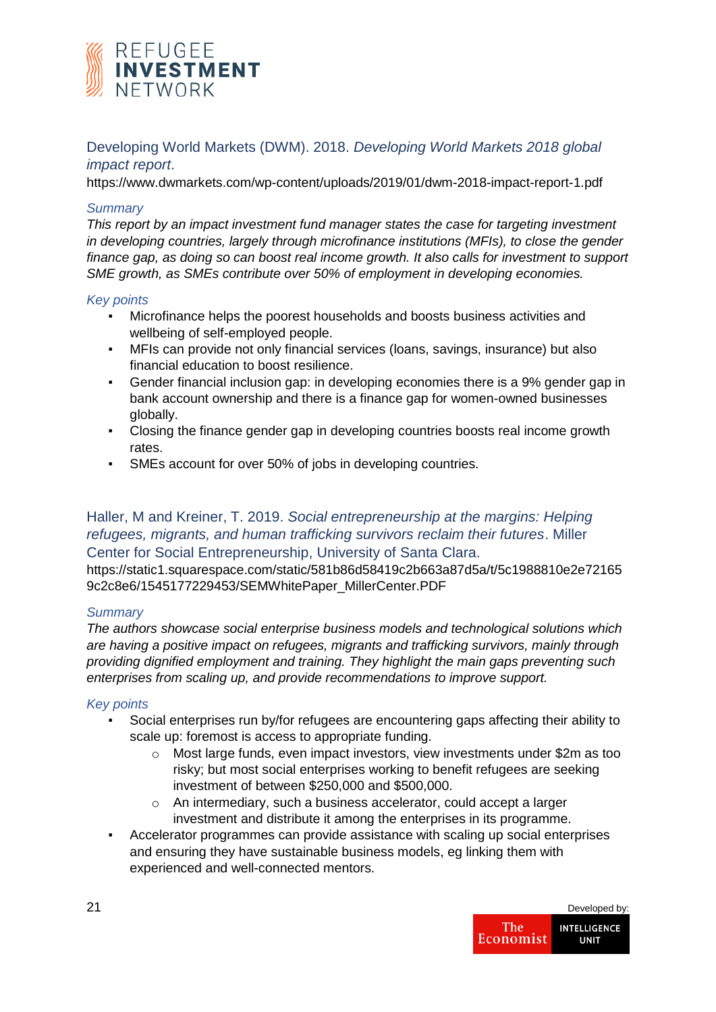

## Developing World Markets (DWM). 2018. *Developing World Markets 2018 global impact report*.

https://www.dwmarkets.com/wp-content/uploads/2019/01/dwm-2018-impact-report-1.pdf

## *Summary*

*This report by an impact investment fund manager states the case for targeting investment in developing countries, largely through microfinance institutions (MFIs), to close the gender finance gap, as doing so can boost real income growth. It also calls for investment to support SME growth, as SMEs contribute over 50% of employment in developing economies.*

#### *Key points*

- Microfinance helps the poorest households and boosts business activities and wellbeing of self-employed people.
- MFIs can provide not only financial services (loans, savings, insurance) but also financial education to boost resilience.
- Gender financial inclusion gap: in developing economies there is a 9% gender gap in bank account ownership and there is a finance gap for women-owned businesses globally.
- Closing the finance gender gap in developing countries boosts real income growth rates.
- SMEs account for over 50% of jobs in developing countries.

## Haller, M and Kreiner, T. 2019. *Social entrepreneurship at the margins: Helping refugees, migrants, and human trafficking survivors reclaim their futures*. Miller Center for Social Entrepreneurship, University of Santa Clara.

https://static1.squarespace.com/static/581b86d58419c2b663a87d5a/t/5c1988810e2e72165 9c2c8e6/1545177229453/SEMWhitePaper\_MillerCenter.PDF

#### *Summary*

*The authors showcase social enterprise business models and technological solutions which are having a positive impact on refugees, migrants and trafficking survivors, mainly through providing dignified employment and training. They highlight the main gaps preventing such enterprises from scaling up, and provide recommendations to improve support.*

- Social enterprises run by/for refugees are encountering gaps affecting their ability to scale up: foremost is access to appropriate funding.
	- o Most large funds, even impact investors, view investments under \$2m as too risky; but most social enterprises working to benefit refugees are seeking investment of between \$250,000 and \$500,000.
	- o An intermediary, such a business accelerator, could accept a larger investment and distribute it among the enterprises in its programme.
- Accelerator programmes can provide assistance with scaling up social enterprises and ensuring they have sustainable business models, eg linking them with experienced and well-connected mentors.

| 21 |                  | Developed by:                      |
|----|------------------|------------------------------------|
|    | The<br>Economist | <b>INTELLIGENCE</b><br><b>UNIT</b> |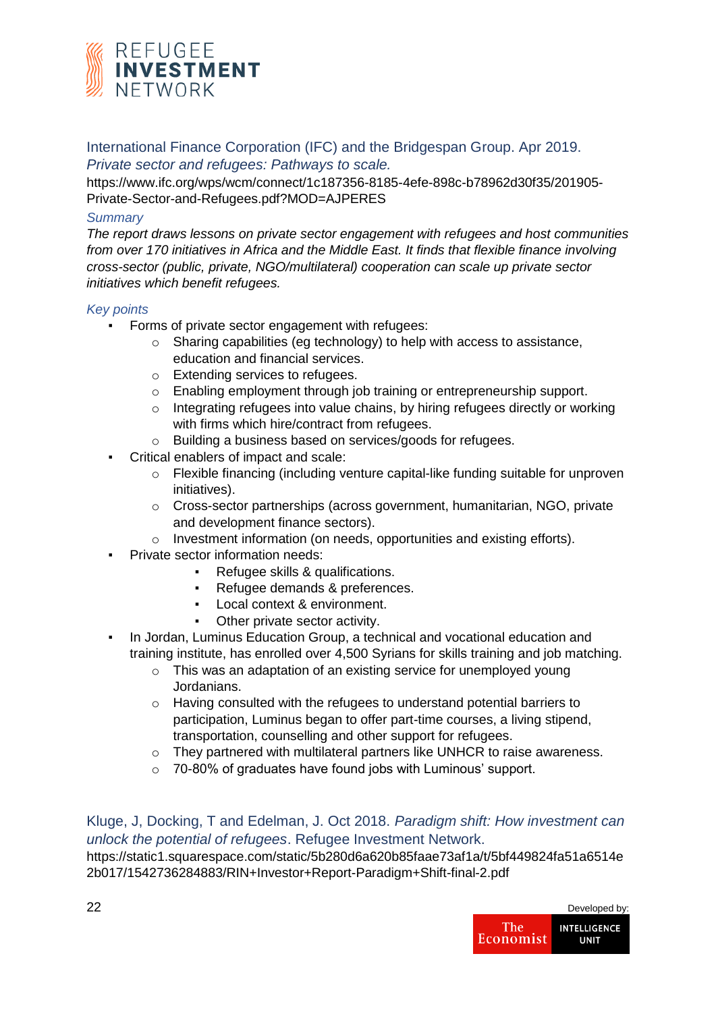

International Finance Corporation (IFC) and the Bridgespan Group. Apr 2019.

*Private sector and refugees: Pathways to scale.* 

https://www.ifc.org/wps/wcm/connect/1c187356-8185-4efe-898c-b78962d30f35/201905- Private-Sector-and-Refugees.pdf?MOD=AJPERES

## *Summary*

*The report draws lessons on private sector engagement with refugees and host communities from over 170 initiatives in Africa and the Middle East. It finds that flexible finance involving cross-sector (public, private, NGO/multilateral) cooperation can scale up private sector initiatives which benefit refugees.*

## *Key points*

- Forms of private sector engagement with refugees:
	- o Sharing capabilities (eg technology) to help with access to assistance, education and financial services.
	- o Extending services to refugees.
	- o Enabling employment through job training or entrepreneurship support.
	- $\circ$  Integrating refugees into value chains, by hiring refugees directly or working with firms which hire/contract from refugees.
	- o Building a business based on services/goods for refugees.
- Critical enablers of impact and scale:
	- o Flexible financing (including venture capital-like funding suitable for unproven initiatives).
	- o Cross-sector partnerships (across government, humanitarian, NGO, private and development finance sectors).
	- o Investment information (on needs, opportunities and existing efforts).
- Private sector information needs:
	- Refugee skills & qualifications.
	- Refugee demands & preferences.
	- Local context & environment.
	- Other private sector activity.
- In Jordan, Luminus Education Group, a technical and vocational education and training institute, has enrolled over 4,500 Syrians for skills training and job matching.
	- o This was an adaptation of an existing service for unemployed young Jordanians.
	- o Having consulted with the refugees to understand potential barriers to participation, Luminus began to offer part-time courses, a living stipend, transportation, counselling and other support for refugees.
	- $\circ$  They partnered with multilateral partners like UNHCR to raise awareness.
	- o 70-80% of graduates have found jobs with Luminous' support.

## Kluge, J, Docking, T and Edelman, J. Oct 2018. *Paradigm shift: How investment can unlock the potential of refugees*. Refugee Investment Network. https://static1.squarespace.com/static/5b280d6a620b85faae73af1a/t/5bf449824fa51a6514e

2b017/1542736284883/RIN+Investor+Report-Paradigm+Shift-final-2.pdf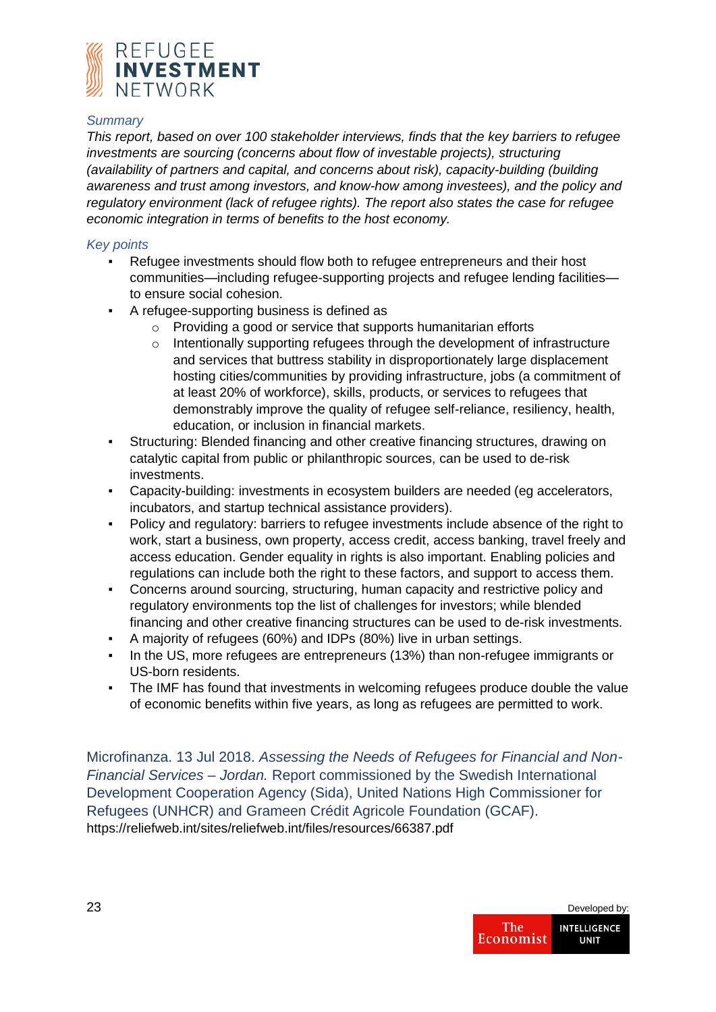

### *Summary*

*This report, based on over 100 stakeholder interviews, finds that the key barriers to refugee investments are sourcing (concerns about flow of investable projects), structuring (availability of partners and capital, and concerns about risk), capacity-building (building awareness and trust among investors, and know-how among investees), and the policy and regulatory environment (lack of refugee rights). The report also states the case for refugee economic integration in terms of benefits to the host economy.*

## *Key points*

- Refugee investments should flow both to refugee entrepreneurs and their host communities—including refugee-supporting projects and refugee lending facilities to ensure social cohesion.
- A refugee-supporting business is defined as
	- o Providing a good or service that supports humanitarian efforts
	- o Intentionally supporting refugees through the development of infrastructure and services that buttress stability in disproportionately large displacement hosting cities/communities by providing infrastructure, jobs (a commitment of at least 20% of workforce), skills, products, or services to refugees that demonstrably improve the quality of refugee self-reliance, resiliency, health, education, or inclusion in financial markets.
- Structuring: Blended financing and other creative financing structures, drawing on catalytic capital from public or philanthropic sources, can be used to de-risk investments.
- Capacity-building: investments in ecosystem builders are needed (eg accelerators, incubators, and startup technical assistance providers).
- Policy and regulatory: barriers to refugee investments include absence of the right to work, start a business, own property, access credit, access banking, travel freely and access education. Gender equality in rights is also important. Enabling policies and regulations can include both the right to these factors, and support to access them.
- Concerns around sourcing, structuring, human capacity and restrictive policy and regulatory environments top the list of challenges for investors; while blended financing and other creative financing structures can be used to de-risk investments.
- A majority of refugees (60%) and IDPs (80%) live in urban settings.
- In the US, more refugees are entrepreneurs (13%) than non-refugee immigrants or US-born residents.
- The IMF has found that investments in welcoming refugees produce double the value of economic benefits within five years, as long as refugees are permitted to work.

Microfinanza. 13 Jul 2018. *Assessing the Needs of Refugees for Financial and Non-Financial Services – Jordan.* Report commissioned by the Swedish International Development Cooperation Agency (Sida), United Nations High Commissioner for Refugees (UNHCR) and Grameen Crédit Agricole Foundation (GCAF). https://reliefweb.int/sites/reliefweb.int/files/resources/66387.pdf

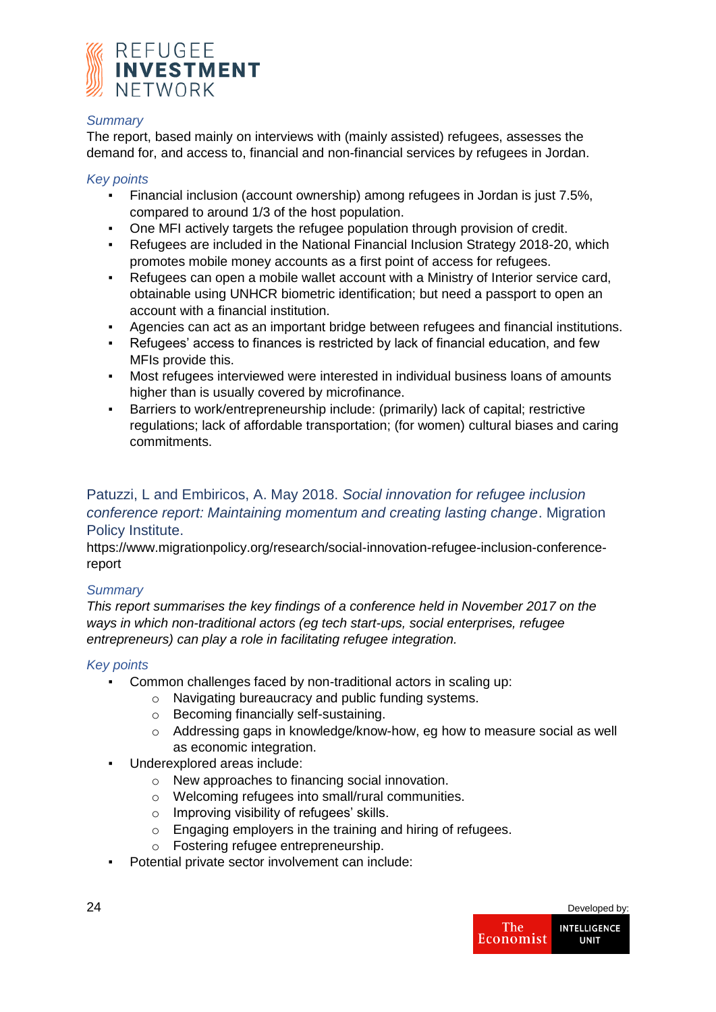

### *Summary*

The report, based mainly on interviews with (mainly assisted) refugees, assesses the demand for, and access to, financial and non-financial services by refugees in Jordan.

### *Key points*

- Financial inclusion (account ownership) among refugees in Jordan is just 7.5%, compared to around 1/3 of the host population.
- One MFI actively targets the refugee population through provision of credit.
- Refugees are included in the National Financial Inclusion Strategy 2018-20, which promotes mobile money accounts as a first point of access for refugees.
- Refugees can open a mobile wallet account with a Ministry of Interior service card, obtainable using UNHCR biometric identification; but need a passport to open an account with a financial institution.
- Agencies can act as an important bridge between refugees and financial institutions.
- Refugees' access to finances is restricted by lack of financial education, and few MFIs provide this.
- Most refugees interviewed were interested in individual business loans of amounts higher than is usually covered by microfinance.
- Barriers to work/entrepreneurship include: (primarily) lack of capital; restrictive regulations; lack of affordable transportation; (for women) cultural biases and caring commitments.

## Patuzzi, L and Embiricos, A. May 2018. *Social innovation for refugee inclusion conference report: Maintaining momentum and creating lasting change*. Migration Policy Institute.

https://www.migrationpolicy.org/research/social-innovation-refugee-inclusion-conferencereport

## *Summary*

*This report summarises the key findings of a conference held in November 2017 on the ways in which non-traditional actors (eg tech start-ups, social enterprises, refugee entrepreneurs) can play a role in facilitating refugee integration.* 

- Common challenges faced by non-traditional actors in scaling up:
	- o Navigating bureaucracy and public funding systems.
	- o Becoming financially self-sustaining.
	- o Addressing gaps in knowledge/know-how, eg how to measure social as well as economic integration.
- Underexplored areas include:
	- o New approaches to financing social innovation.
	- o Welcoming refugees into small/rural communities.
	- o Improving visibility of refugees' skills.
	- o Engaging employers in the training and hiring of refugees.
	- o Fostering refugee entrepreneurship.
- Potential private sector involvement can include:

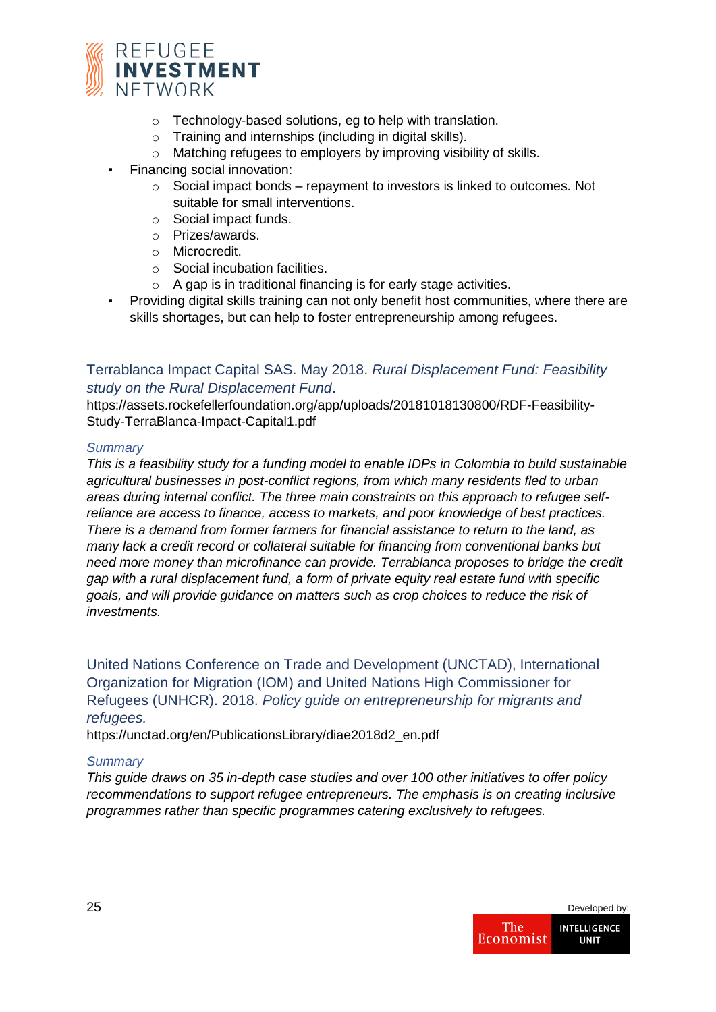

- o Technology-based solutions, eg to help with translation.
- o Training and internships (including in digital skills).
- o Matching refugees to employers by improving visibility of skills.
- Financing social innovation:
	- o Social impact bonds repayment to investors is linked to outcomes. Not suitable for small interventions.
	- o Social impact funds.
	- o Prizes/awards.
	- o Microcredit.
	- o Social incubation facilities.
	- o A gap is in traditional financing is for early stage activities.
- Providing digital skills training can not only benefit host communities, where there are skills shortages, but can help to foster entrepreneurship among refugees.

## Terrablanca Impact Capital SAS. May 2018. *Rural Displacement Fund: Feasibility study on the Rural Displacement Fund*.

https://assets.rockefellerfoundation.org/app/uploads/20181018130800/RDF-Feasibility-Study-TerraBlanca-Impact-Capital1.pdf

## *Summary*

*This is a feasibility study for a funding model to enable IDPs in Colombia to build sustainable agricultural businesses in post-conflict regions, from which many residents fled to urban areas during internal conflict. The three main constraints on this approach to refugee selfreliance are access to finance, access to markets, and poor knowledge of best practices. There is a demand from former farmers for financial assistance to return to the land, as many lack a credit record or collateral suitable for financing from conventional banks but need more money than microfinance can provide. Terrablanca proposes to bridge the credit gap with a rural displacement fund, a form of private equity real estate fund with specific goals, and will provide guidance on matters such as crop choices to reduce the risk of investments.*

United Nations Conference on Trade and Development (UNCTAD), International Organization for Migration (IOM) and United Nations High Commissioner for Refugees (UNHCR). 2018. *Policy guide on entrepreneurship for migrants and refugees.*

https://unctad.org/en/PublicationsLibrary/diae2018d2\_en.pdf

## *Summary*

*This guide draws on 35 in-depth case studies and over 100 other initiatives to offer policy recommendations to support refugee entrepreneurs. The emphasis is on creating inclusive programmes rather than specific programmes catering exclusively to refugees.* 

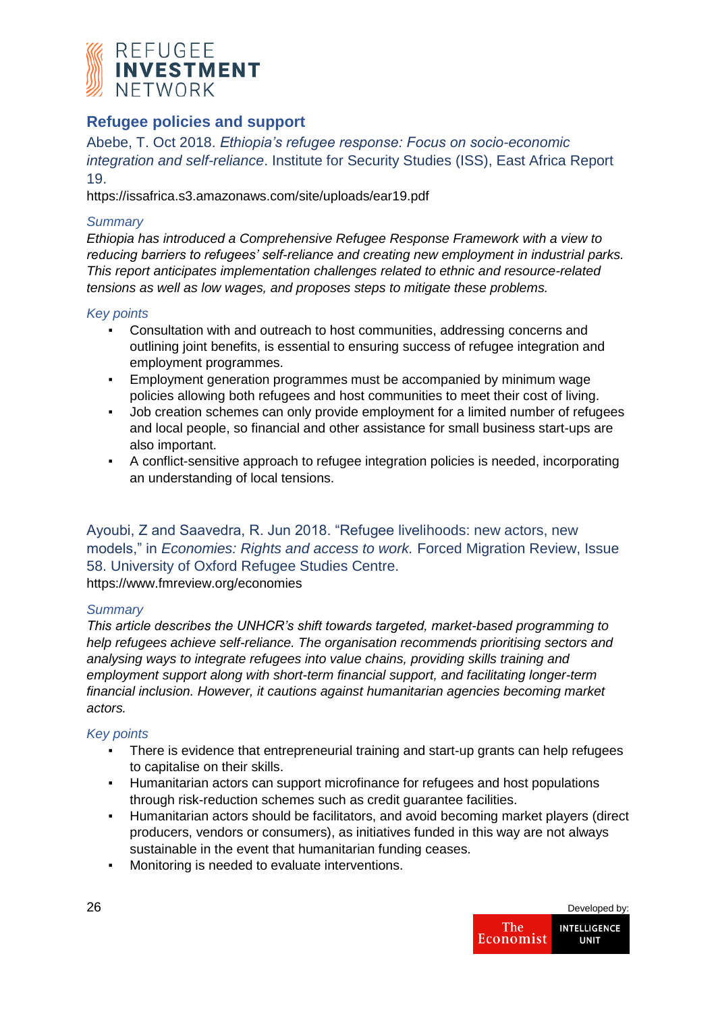

## **Refugee policies and support**

Abebe, T. Oct 2018. *Ethiopia's refugee response: Focus on socio-economic integration and self-reliance*. Institute for Security Studies (ISS), East Africa Report 19.

https://issafrica.s3.amazonaws.com/site/uploads/ear19.pdf

## *Summary*

*Ethiopia has introduced a Comprehensive Refugee Response Framework with a view to reducing barriers to refugees' self-reliance and creating new employment in industrial parks. This report anticipates implementation challenges related to ethnic and resource-related tensions as well as low wages, and proposes steps to mitigate these problems.*

## *Key points*

- Consultation with and outreach to host communities, addressing concerns and outlining joint benefits, is essential to ensuring success of refugee integration and employment programmes.
- Employment generation programmes must be accompanied by minimum wage policies allowing both refugees and host communities to meet their cost of living.
- Job creation schemes can only provide employment for a limited number of refugees and local people, so financial and other assistance for small business start-ups are also important.
- A conflict-sensitive approach to refugee integration policies is needed, incorporating an understanding of local tensions.

Ayoubi, Z and Saavedra, R. Jun 2018. "Refugee livelihoods: new actors, new models," in *Economies: Rights and access to work.* Forced Migration Review, Issue 58. University of Oxford Refugee Studies Centre. https://www.fmreview.org/economies

## *Summary*

*This article describes the UNHCR's shift towards targeted, market-based programming to help refugees achieve self-reliance. The organisation recommends prioritising sectors and analysing ways to integrate refugees into value chains, providing skills training and employment support along with short-term financial support, and facilitating longer-term financial inclusion. However, it cautions against humanitarian agencies becoming market actors.*

- There is evidence that entrepreneurial training and start-up grants can help refugees to capitalise on their skills.
- Humanitarian actors can support microfinance for refugees and host populations through risk-reduction schemes such as credit guarantee facilities.
- Humanitarian actors should be facilitators, and avoid becoming market players (direct producers, vendors or consumers), as initiatives funded in this way are not always sustainable in the event that humanitarian funding ceases.
- Monitoring is needed to evaluate interventions.

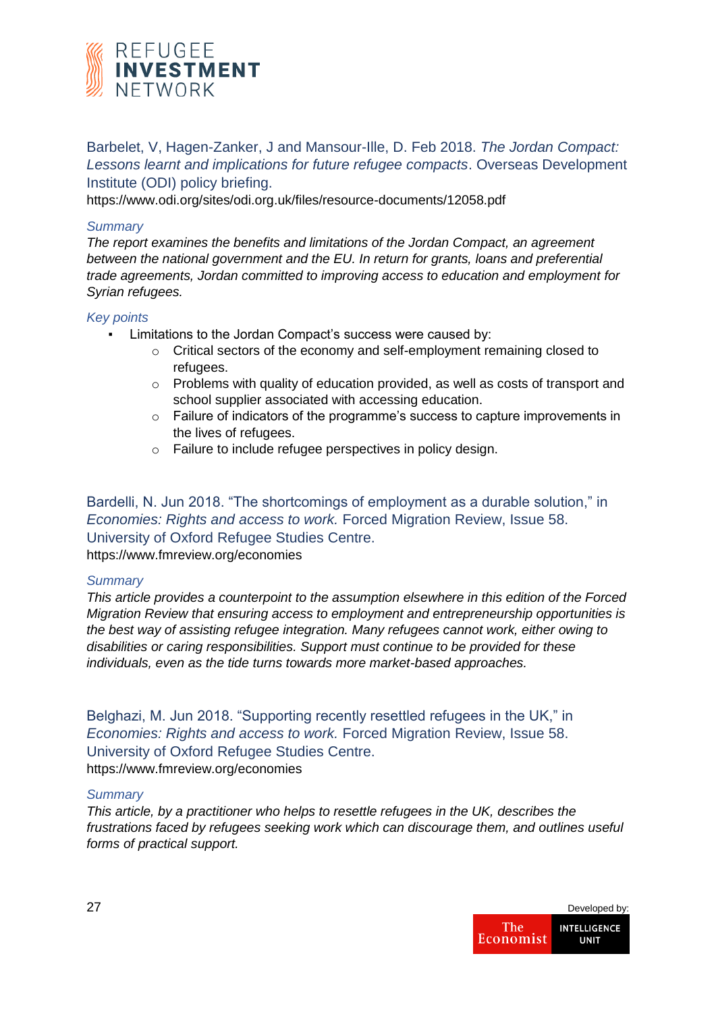

Barbelet, V, Hagen-Zanker, J and Mansour-Ille, D. Feb 2018. *The Jordan Compact: Lessons learnt and implications for future refugee compacts*. Overseas Development Institute (ODI) policy briefing.

https://www.odi.org/sites/odi.org.uk/files/resource-documents/12058.pdf

#### *Summary*

*The report examines the benefits and limitations of the Jordan Compact, an agreement between the national government and the EU. In return for grants, loans and preferential trade agreements, Jordan committed to improving access to education and employment for Syrian refugees.* 

#### *Key points*

- Limitations to the Jordan Compact's success were caused by:
	- o Critical sectors of the economy and self-employment remaining closed to refugees.
	- $\circ$  Problems with quality of education provided, as well as costs of transport and school supplier associated with accessing education.
	- $\circ$  Failure of indicators of the programme's success to capture improvements in the lives of refugees.
	- o Failure to include refugee perspectives in policy design.

Bardelli, N. Jun 2018. "The shortcomings of employment as a durable solution," in *Economies: Rights and access to work.* Forced Migration Review, Issue 58. University of Oxford Refugee Studies Centre.

https://www.fmreview.org/economies

#### *Summary*

*This article provides a counterpoint to the assumption elsewhere in this edition of the Forced Migration Review that ensuring access to employment and entrepreneurship opportunities is the best way of assisting refugee integration. Many refugees cannot work, either owing to disabilities or caring responsibilities. Support must continue to be provided for these individuals, even as the tide turns towards more market-based approaches.*

Belghazi, M. Jun 2018. "Supporting recently resettled refugees in the UK," in *Economies: Rights and access to work.* Forced Migration Review, Issue 58. University of Oxford Refugee Studies Centre. https://www.fmreview.org/economies

#### *Summary*

*This article, by a practitioner who helps to resettle refugees in the UK, describes the frustrations faced by refugees seeking work which can discourage them, and outlines useful forms of practical support.*

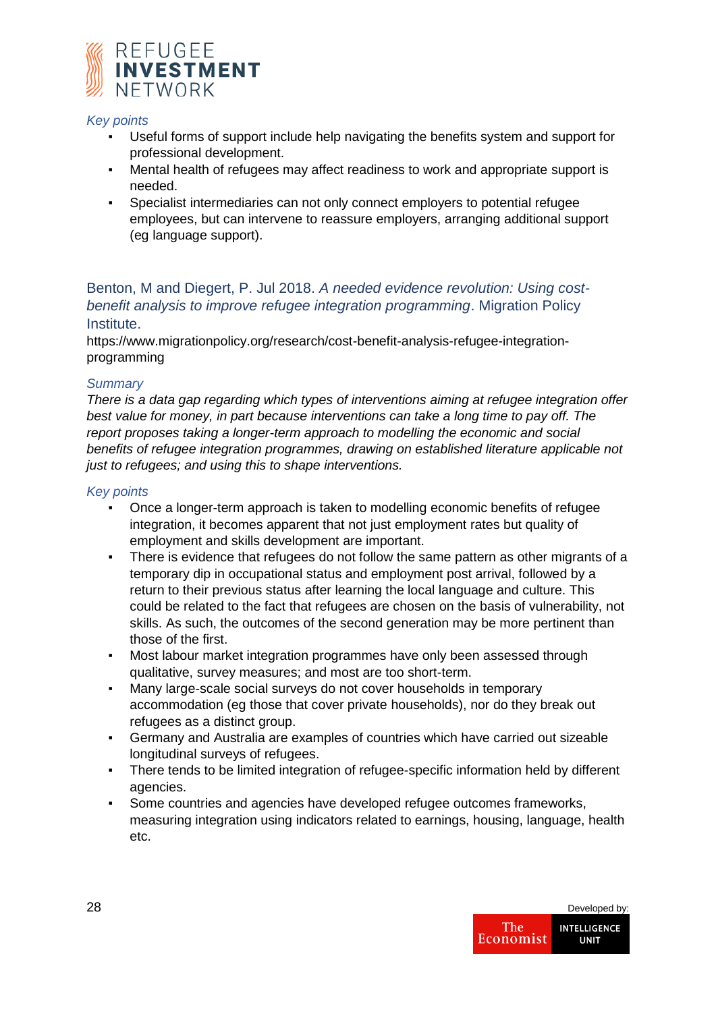

## *Key points*

- Useful forms of support include help navigating the benefits system and support for professional development.
- Mental health of refugees may affect readiness to work and appropriate support is needed.
- Specialist intermediaries can not only connect employers to potential refugee employees, but can intervene to reassure employers, arranging additional support (eg language support).

Benton, M and Diegert, P. Jul 2018. *A needed evidence revolution: Using costbenefit analysis to improve refugee integration programming*. Migration Policy Institute.

https://www.migrationpolicy.org/research/cost-benefit-analysis-refugee-integrationprogramming

#### *Summary*

*There is a data gap regarding which types of interventions aiming at refugee integration offer best value for money, in part because interventions can take a long time to pay off. The report proposes taking a longer-term approach to modelling the economic and social benefits of refugee integration programmes, drawing on established literature applicable not just to refugees; and using this to shape interventions.*

- Once a longer-term approach is taken to modelling economic benefits of refugee integration, it becomes apparent that not just employment rates but quality of employment and skills development are important.
- There is evidence that refugees do not follow the same pattern as other migrants of a temporary dip in occupational status and employment post arrival, followed by a return to their previous status after learning the local language and culture. This could be related to the fact that refugees are chosen on the basis of vulnerability, not skills. As such, the outcomes of the second generation may be more pertinent than those of the first.
- Most labour market integration programmes have only been assessed through qualitative, survey measures; and most are too short-term.
- Many large-scale social surveys do not cover households in temporary accommodation (eg those that cover private households), nor do they break out refugees as a distinct group.
- Germany and Australia are examples of countries which have carried out sizeable longitudinal surveys of refugees.
- There tends to be limited integration of refugee-specific information held by different agencies.
- Some countries and agencies have developed refugee outcomes frameworks, measuring integration using indicators related to earnings, housing, language, health etc.

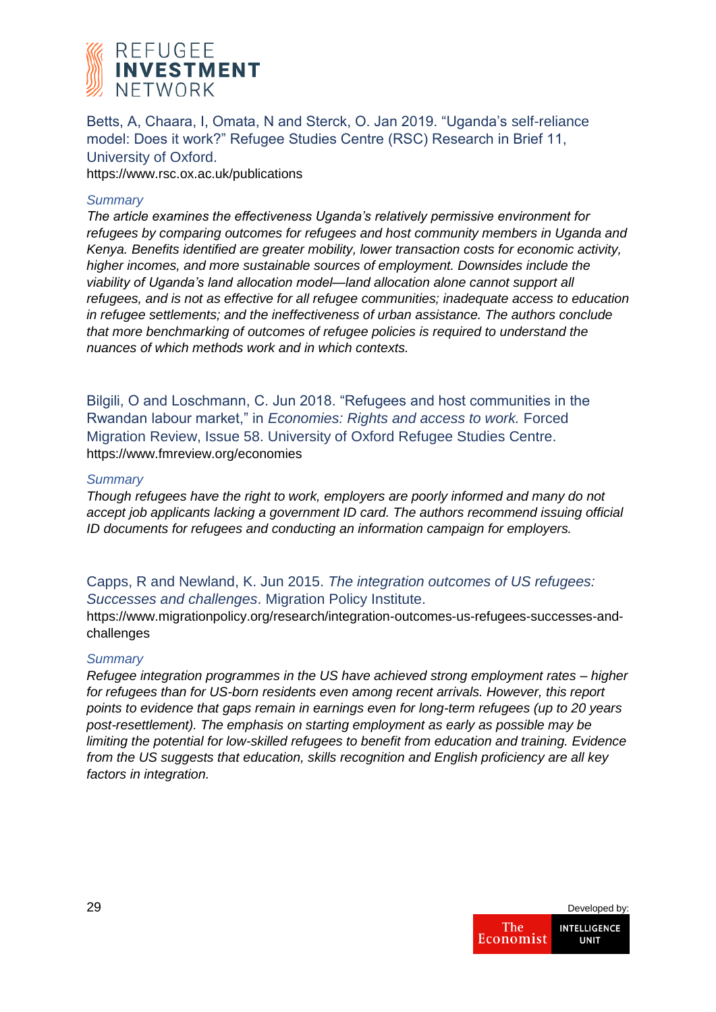

Betts, A, Chaara, I, Omata, N and Sterck, O. Jan 2019. "Uganda's self-reliance model: Does it work?" Refugee Studies Centre (RSC) Research in Brief 11, University of Oxford.

https://www.rsc.ox.ac.uk/publications

### *Summary*

*The article examines the effectiveness Uganda's relatively permissive environment for refugees by comparing outcomes for refugees and host community members in Uganda and Kenya. Benefits identified are greater mobility, lower transaction costs for economic activity, higher incomes, and more sustainable sources of employment. Downsides include the viability of Uganda's land allocation model—land allocation alone cannot support all refugees, and is not as effective for all refugee communities; inadequate access to education in refugee settlements; and the ineffectiveness of urban assistance. The authors conclude that more benchmarking of outcomes of refugee policies is required to understand the nuances of which methods work and in which contexts.*

Bilgili, O and Loschmann, C. Jun 2018. "Refugees and host communities in the Rwandan labour market," in *Economies: Rights and access to work.* Forced Migration Review, Issue 58. University of Oxford Refugee Studies Centre. https://www.fmreview.org/economies

#### *Summary*

*Though refugees have the right to work, employers are poorly informed and many do not accept job applicants lacking a government ID card. The authors recommend issuing official ID documents for refugees and conducting an information campaign for employers.*

## Capps, R and Newland, K. Jun 2015. *The integration outcomes of US refugees: Successes and challenges*. Migration Policy Institute.

https://www.migrationpolicy.org/research/integration-outcomes-us-refugees-successes-andchallenges

#### *Summary*

*Refugee integration programmes in the US have achieved strong employment rates – higher for refugees than for US-born residents even among recent arrivals. However, this report points to evidence that gaps remain in earnings even for long-term refugees (up to 20 years post-resettlement). The emphasis on starting employment as early as possible may be limiting the potential for low-skilled refugees to benefit from education and training. Evidence from the US suggests that education, skills recognition and English proficiency are all key factors in integration.*

| 29 |                  | Developed by:                      |
|----|------------------|------------------------------------|
|    | The<br>Economist | <b>INTELLIGENCE</b><br><b>UNIT</b> |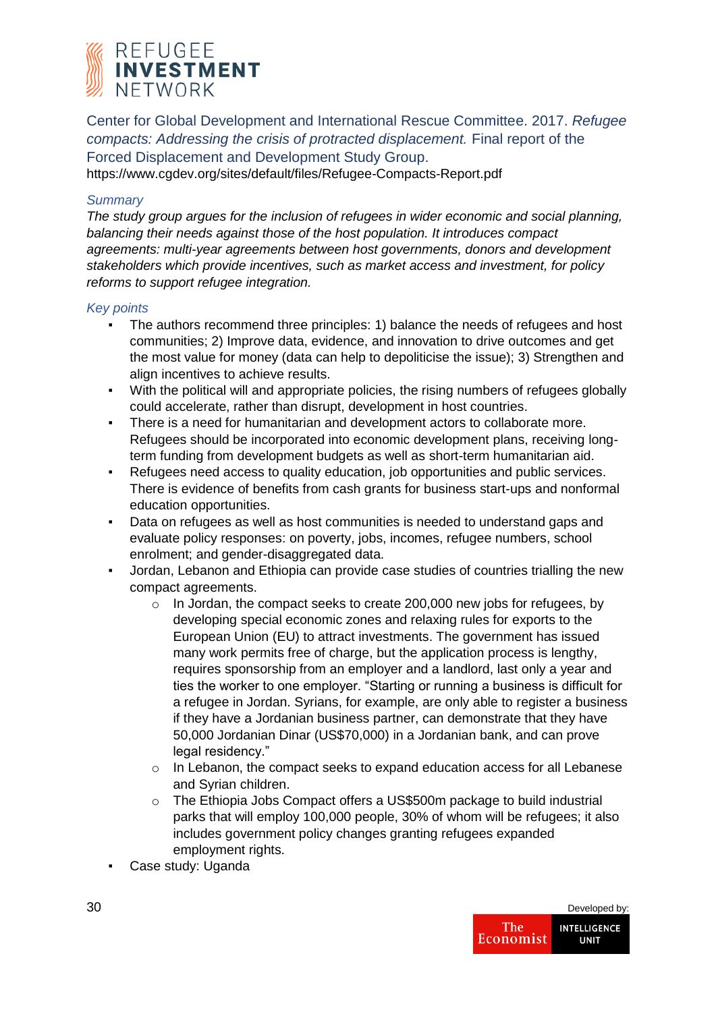

Center for Global Development and International Rescue Committee. 2017. *Refugee compacts: Addressing the crisis of protracted displacement.* Final report of the Forced Displacement and Development Study Group.

https://www.cgdev.org/sites/default/files/Refugee-Compacts-Report.pdf

#### *Summary*

*The study group argues for the inclusion of refugees in wider economic and social planning, balancing their needs against those of the host population. It introduces compact agreements: multi-year agreements between host governments, donors and development stakeholders which provide incentives, such as market access and investment, for policy reforms to support refugee integration.*

- The authors recommend three principles: 1) balance the needs of refugees and host communities; 2) Improve data, evidence, and innovation to drive outcomes and get the most value for money (data can help to depoliticise the issue); 3) Strengthen and align incentives to achieve results.
- With the political will and appropriate policies, the rising numbers of refugees globally could accelerate, rather than disrupt, development in host countries.
- There is a need for humanitarian and development actors to collaborate more. Refugees should be incorporated into economic development plans, receiving longterm funding from development budgets as well as short-term humanitarian aid.
- Refugees need access to quality education, job opportunities and public services. There is evidence of benefits from cash grants for business start-ups and nonformal education opportunities.
- Data on refugees as well as host communities is needed to understand gaps and evaluate policy responses: on poverty, jobs, incomes, refugee numbers, school enrolment; and gender-disaggregated data.
- Jordan, Lebanon and Ethiopia can provide case studies of countries trialling the new compact agreements.
	- $\circ$  In Jordan, the compact seeks to create 200,000 new jobs for refugees, by developing special economic zones and relaxing rules for exports to the European Union (EU) to attract investments. The government has issued many work permits free of charge, but the application process is lengthy, requires sponsorship from an employer and a landlord, last only a year and ties the worker to one employer. "Starting or running a business is difficult for a refugee in Jordan. Syrians, for example, are only able to register a business if they have a Jordanian business partner, can demonstrate that they have 50,000 Jordanian Dinar (US\$70,000) in a Jordanian bank, and can prove legal residency."
	- o In Lebanon, the compact seeks to expand education access for all Lebanese and Syrian children.
	- o The Ethiopia Jobs Compact offers a US\$500m package to build industrial parks that will employ 100,000 people, 30% of whom will be refugees; it also includes government policy changes granting refugees expanded employment rights.
- Case study: Uganda

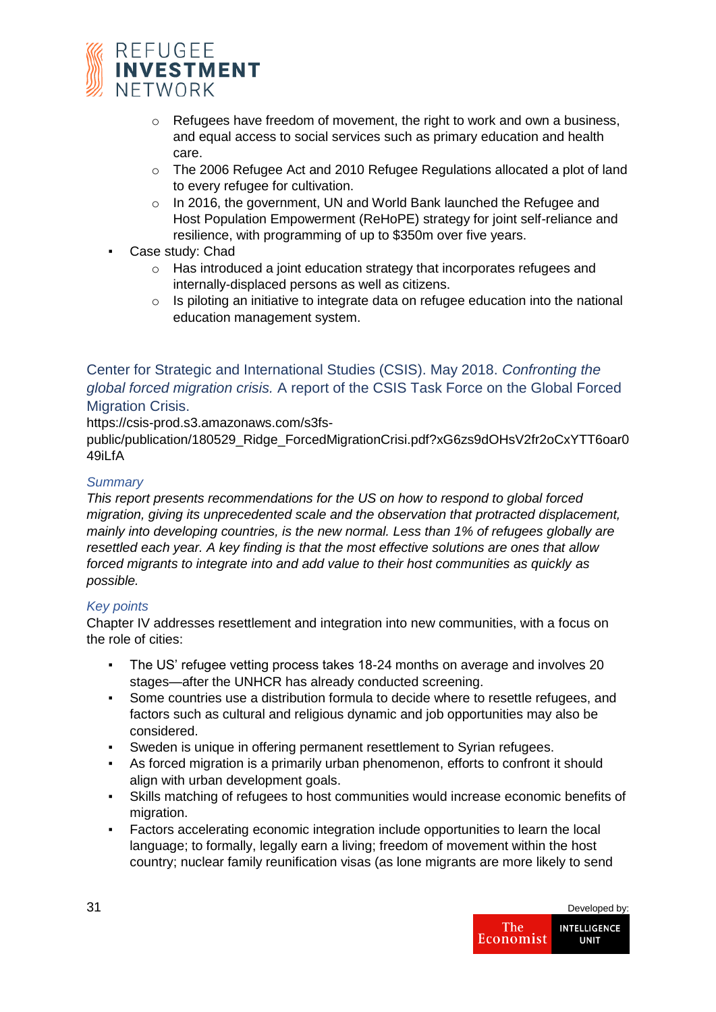

- $\circ$  Refugees have freedom of movement, the right to work and own a business, and equal access to social services such as primary education and health care.
- o The 2006 Refugee Act and 2010 Refugee Regulations allocated a plot of land to every refugee for cultivation.
- o In 2016, the government, UN and World Bank launched the Refugee and Host Population Empowerment (ReHoPE) strategy for joint self-reliance and resilience, with programming of up to \$350m over five years.
- Case study: Chad
	- o Has introduced a joint education strategy that incorporates refugees and internally-displaced persons as well as citizens.
	- o Is piloting an initiative to integrate data on refugee education into the national education management system.

## Center for Strategic and International Studies (CSIS). May 2018. *Confronting the global forced migration crisis.* A report of the CSIS Task Force on the Global Forced Migration Crisis.

https://csis-prod.s3.amazonaws.com/s3fs-

public/publication/180529\_Ridge\_ForcedMigrationCrisi.pdf?xG6zs9dOHsV2fr2oCxYTT6oar0 49iLfA

## *Summary*

*This report presents recommendations for the US on how to respond to global forced migration, giving its unprecedented scale and the observation that protracted displacement, mainly into developing countries, is the new normal. Less than 1% of refugees globally are resettled each year. A key finding is that the most effective solutions are ones that allow forced migrants to integrate into and add value to their host communities as quickly as possible.*

## *Key points*

Chapter IV addresses resettlement and integration into new communities, with a focus on the role of cities:

- The US' refugee vetting process takes 18-24 months on average and involves 20 stages—after the UNHCR has already conducted screening.
- Some countries use a distribution formula to decide where to resettle refugees, and factors such as cultural and religious dynamic and job opportunities may also be considered.
- Sweden is unique in offering permanent resettlement to Syrian refugees.
- As forced migration is a primarily urban phenomenon, efforts to confront it should align with urban development goals.
- Skills matching of refugees to host communities would increase economic benefits of migration.
- Factors accelerating economic integration include opportunities to learn the local language; to formally, legally earn a living; freedom of movement within the host country; nuclear family reunification visas (as lone migrants are more likely to send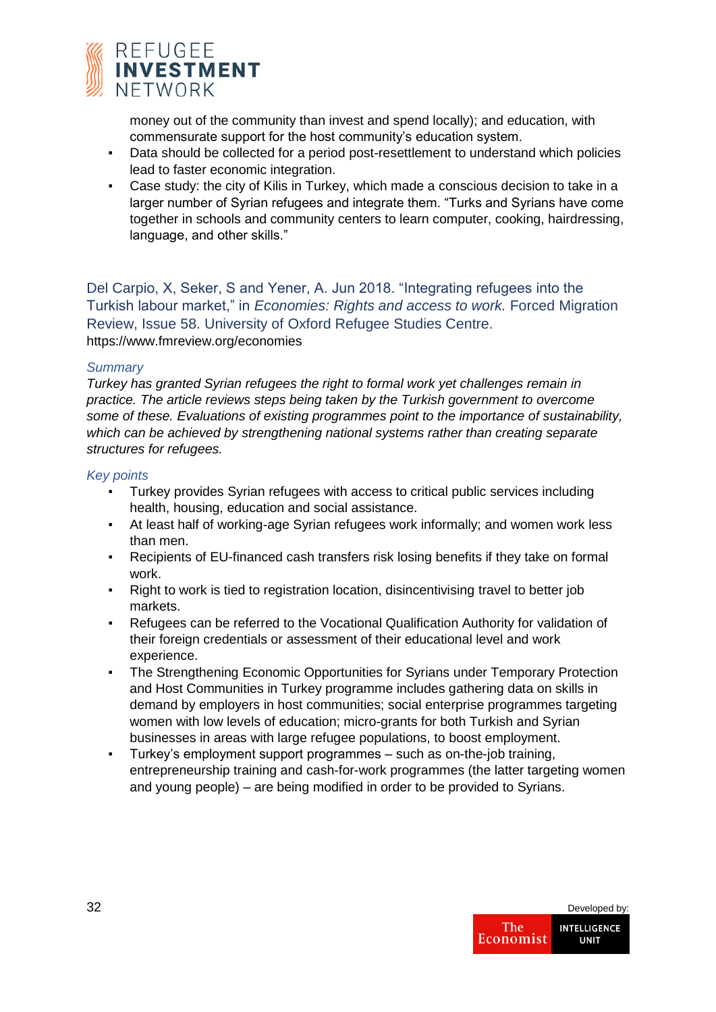

money out of the community than invest and spend locally); and education, with commensurate support for the host community's education system.

- Data should be collected for a period post-resettlement to understand which policies lead to faster economic integration.
- Case study: the city of Kilis in Turkey, which made a conscious decision to take in a larger number of Syrian refugees and integrate them. "Turks and Syrians have come together in schools and community centers to learn computer, cooking, hairdressing, language, and other skills."

Del Carpio, X, Seker, S and Yener, A. Jun 2018. "Integrating refugees into the Turkish labour market," in *Economies: Rights and access to work.* Forced Migration Review, Issue 58. University of Oxford Refugee Studies Centre. https://www.fmreview.org/economies

#### *Summary*

*Turkey has granted Syrian refugees the right to formal work yet challenges remain in practice. The article reviews steps being taken by the Turkish government to overcome some of these. Evaluations of existing programmes point to the importance of sustainability, which can be achieved by strengthening national systems rather than creating separate structures for refugees.*

- Turkey provides Syrian refugees with access to critical public services including health, housing, education and social assistance.
- At least half of working-age Syrian refugees work informally; and women work less than men.
- Recipients of EU-financed cash transfers risk losing benefits if they take on formal work.
- Right to work is tied to registration location, disincentivising travel to better job markets.
- Refugees can be referred to the Vocational Qualification Authority for validation of their foreign credentials or assessment of their educational level and work experience.
- The Strengthening Economic Opportunities for Syrians under Temporary Protection and Host Communities in Turkey programme includes gathering data on skills in demand by employers in host communities; social enterprise programmes targeting women with low levels of education; micro-grants for both Turkish and Syrian businesses in areas with large refugee populations, to boost employment.
- Turkey's employment support programmes such as on-the-job training, entrepreneurship training and cash-for-work programmes (the latter targeting women and young people) – are being modified in order to be provided to Syrians.

| 32 |                  | Developed by:                      |
|----|------------------|------------------------------------|
|    | The<br>Economist | <b>INTELLIGENCE</b><br><b>UNIT</b> |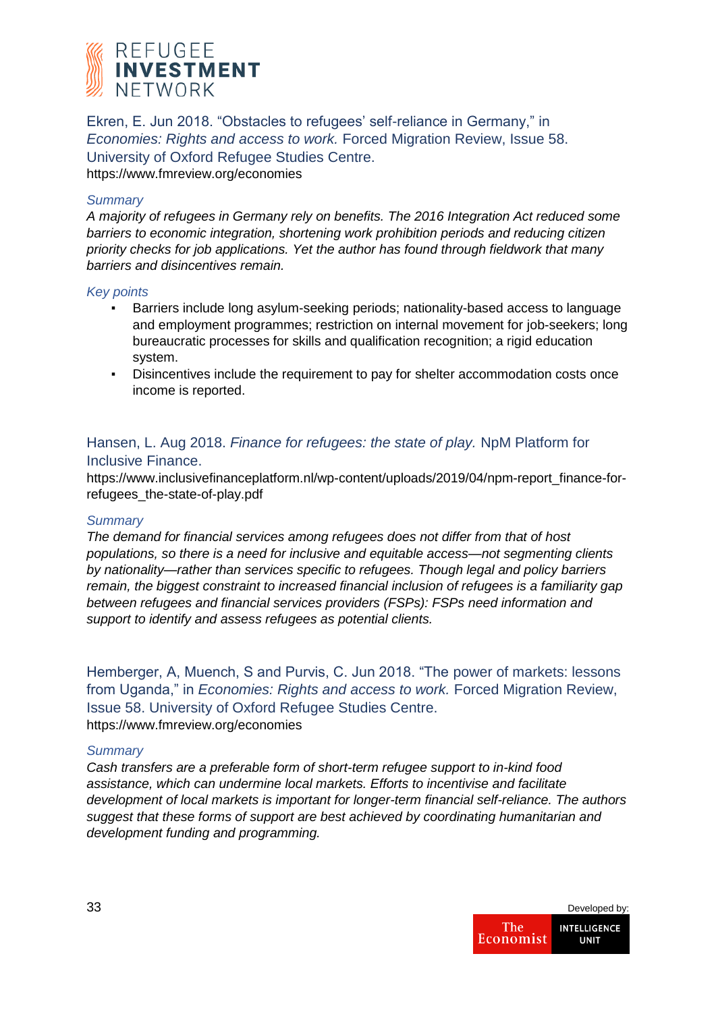

Ekren, E. Jun 2018. "Obstacles to refugees' self-reliance in Germany," in *Economies: Rights and access to work.* Forced Migration Review, Issue 58. University of Oxford Refugee Studies Centre. https://www.fmreview.org/economies

#### *Summary*

*A majority of refugees in Germany rely on benefits. The 2016 Integration Act reduced some barriers to economic integration, shortening work prohibition periods and reducing citizen priority checks for job applications. Yet the author has found through fieldwork that many barriers and disincentives remain.*

#### *Key points*

- Barriers include long asylum-seeking periods; nationality-based access to language and employment programmes; restriction on internal movement for job-seekers; long bureaucratic processes for skills and qualification recognition; a rigid education system.
- Disincentives include the requirement to pay for shelter accommodation costs once income is reported.

## Hansen, L. Aug 2018. *Finance for refugees: the state of play.* NpM Platform for Inclusive Finance.

https://www.inclusivefinanceplatform.nl/wp-content/uploads/2019/04/npm-report\_finance-forrefugees\_the-state-of-play.pdf

#### *Summary*

*The demand for financial services among refugees does not differ from that of host populations, so there is a need for inclusive and equitable access—not segmenting clients by nationality—rather than services specific to refugees. Though legal and policy barriers remain, the biggest constraint to increased financial inclusion of refugees is a familiarity gap between refugees and financial services providers (FSPs): FSPs need information and support to identify and assess refugees as potential clients.*

Hemberger, A, Muench, S and Purvis, C. Jun 2018. "The power of markets: lessons from Uganda," in *Economies: Rights and access to work.* Forced Migration Review, Issue 58. University of Oxford Refugee Studies Centre. https://www.fmreview.org/economies

#### *Summary*

*Cash transfers are a preferable form of short-term refugee support to in-kind food assistance, which can undermine local markets. Efforts to incentivise and facilitate development of local markets is important for longer-term financial self-reliance. The authors suggest that these forms of support are best achieved by coordinating humanitarian and development funding and programming.*

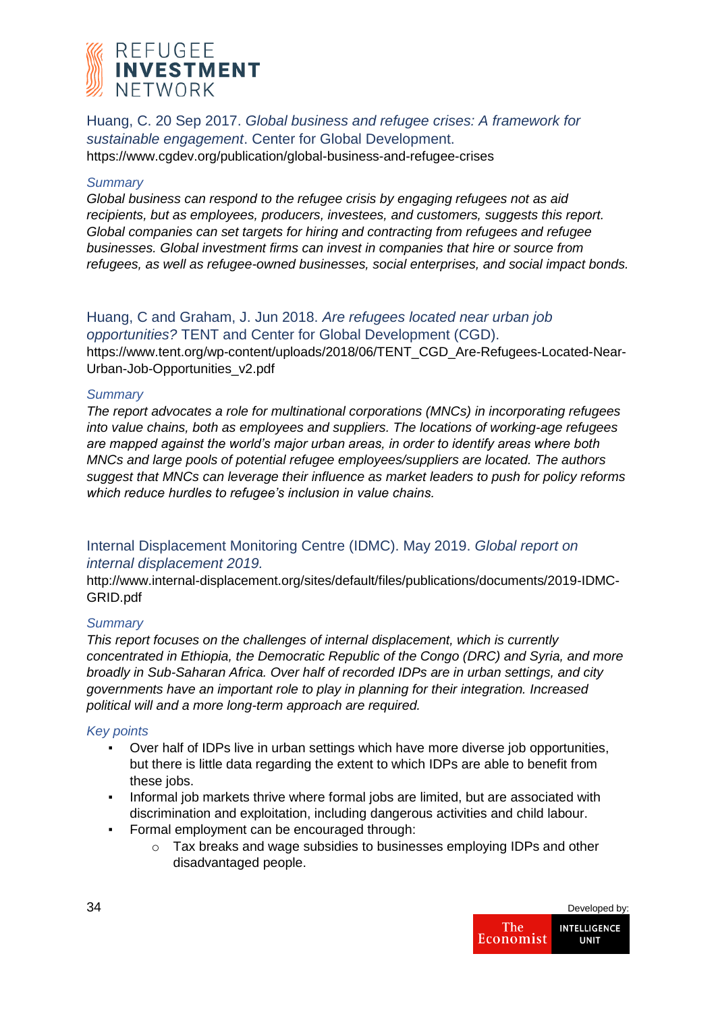

Huang, C. 20 Sep 2017. *Global business and refugee crises: A framework for sustainable engagement*. Center for Global Development.

https://www.cgdev.org/publication/global-business-and-refugee-crises

### *Summary*

*Global business can respond to the refugee crisis by engaging refugees not as aid recipients, but as employees, producers, investees, and customers, suggests this report. Global companies can set targets for hiring and contracting from refugees and refugee businesses. Global investment firms can invest in companies that hire or source from refugees, as well as refugee-owned businesses, social enterprises, and social impact bonds.*

Huang, C and Graham, J. Jun 2018. *Are refugees located near urban job opportunities?* TENT and Center for Global Development (CGD). https://www.tent.org/wp-content/uploads/2018/06/TENT\_CGD\_Are-Refugees-Located-Near-Urban-Job-Opportunities\_v2.pdf

#### *Summary*

*The report advocates a role for multinational corporations (MNCs) in incorporating refugees into value chains, both as employees and suppliers. The locations of working-age refugees are mapped against the world's major urban areas, in order to identify areas where both MNCs and large pools of potential refugee employees/suppliers are located. The authors suggest that MNCs can leverage their influence as market leaders to push for policy reforms which reduce hurdles to refugee's inclusion in value chains.*

## Internal Displacement Monitoring Centre (IDMC). May 2019. *Global report on internal displacement 2019.*

http://www.internal-displacement.org/sites/default/files/publications/documents/2019-IDMC-GRID.pdf

## *Summary*

*This report focuses on the challenges of internal displacement, which is currently concentrated in Ethiopia, the Democratic Republic of the Congo (DRC) and Syria, and more broadly in Sub-Saharan Africa. Over half of recorded IDPs are in urban settings, and city governments have an important role to play in planning for their integration. Increased political will and a more long-term approach are required.*

- Over half of IDPs live in urban settings which have more diverse job opportunities, but there is little data regarding the extent to which IDPs are able to benefit from these jobs.
- Informal job markets thrive where formal jobs are limited, but are associated with discrimination and exploitation, including dangerous activities and child labour.
- Formal employment can be encouraged through:
	- o Tax breaks and wage subsidies to businesses employing IDPs and other disadvantaged people.

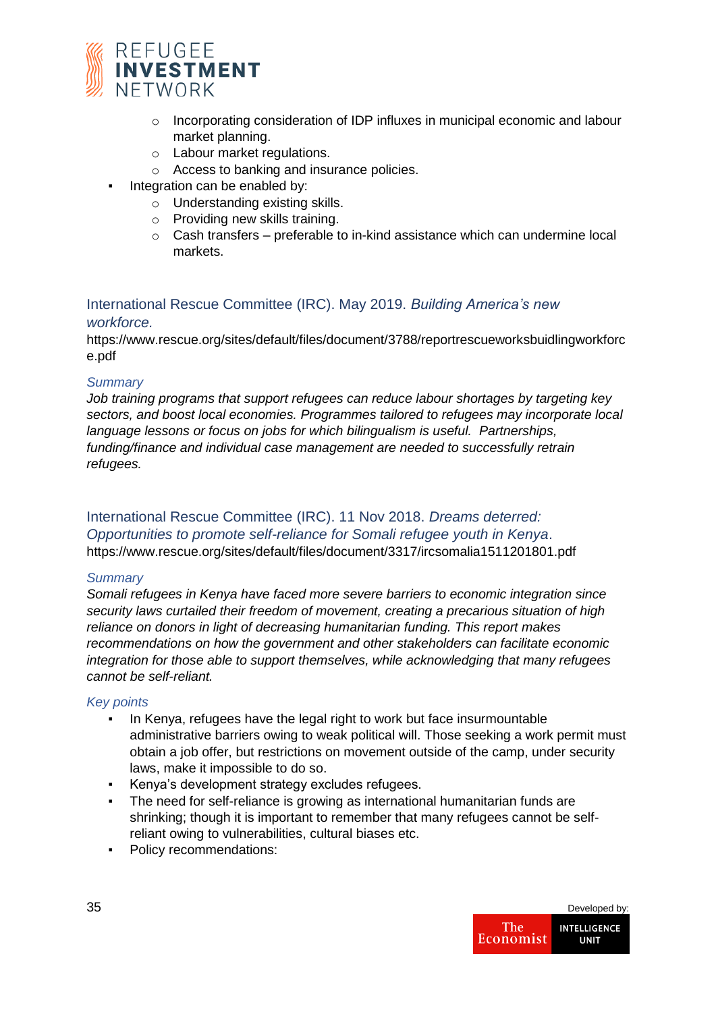

- o Incorporating consideration of IDP influxes in municipal economic and labour market planning.
- o Labour market regulations.
- o Access to banking and insurance policies.
- **•** Integration can be enabled by:
	- o Understanding existing skills.
	- o Providing new skills training.
	- o Cash transfers preferable to in-kind assistance which can undermine local markets.

## International Rescue Committee (IRC). May 2019. *Building America's new workforce.*

https://www.rescue.org/sites/default/files/document/3788/reportrescueworksbuidlingworkforc e.pdf

## *Summary*

*Job training programs that support refugees can reduce labour shortages by targeting key sectors, and boost local economies. Programmes tailored to refugees may incorporate local language lessons or focus on jobs for which bilingualism is useful. Partnerships, funding/finance and individual case management are needed to successfully retrain refugees.*

## International Rescue Committee (IRC). 11 Nov 2018. *Dreams deterred: Opportunities to promote self-reliance for Somali refugee youth in Kenya*. https://www.rescue.org/sites/default/files/document/3317/ircsomalia1511201801.pdf

## *Summary*

*Somali refugees in Kenya have faced more severe barriers to economic integration since security laws curtailed their freedom of movement, creating a precarious situation of high reliance on donors in light of decreasing humanitarian funding. This report makes recommendations on how the government and other stakeholders can facilitate economic integration for those able to support themselves, while acknowledging that many refugees cannot be self-reliant.*

- In Kenya, refugees have the legal right to work but face insurmountable administrative barriers owing to weak political will. Those seeking a work permit must obtain a job offer, but restrictions on movement outside of the camp, under security laws, make it impossible to do so.
- Kenya's development strategy excludes refugees.
- The need for self-reliance is growing as international humanitarian funds are shrinking; though it is important to remember that many refugees cannot be selfreliant owing to vulnerabilities, cultural biases etc.
- Policy recommendations:

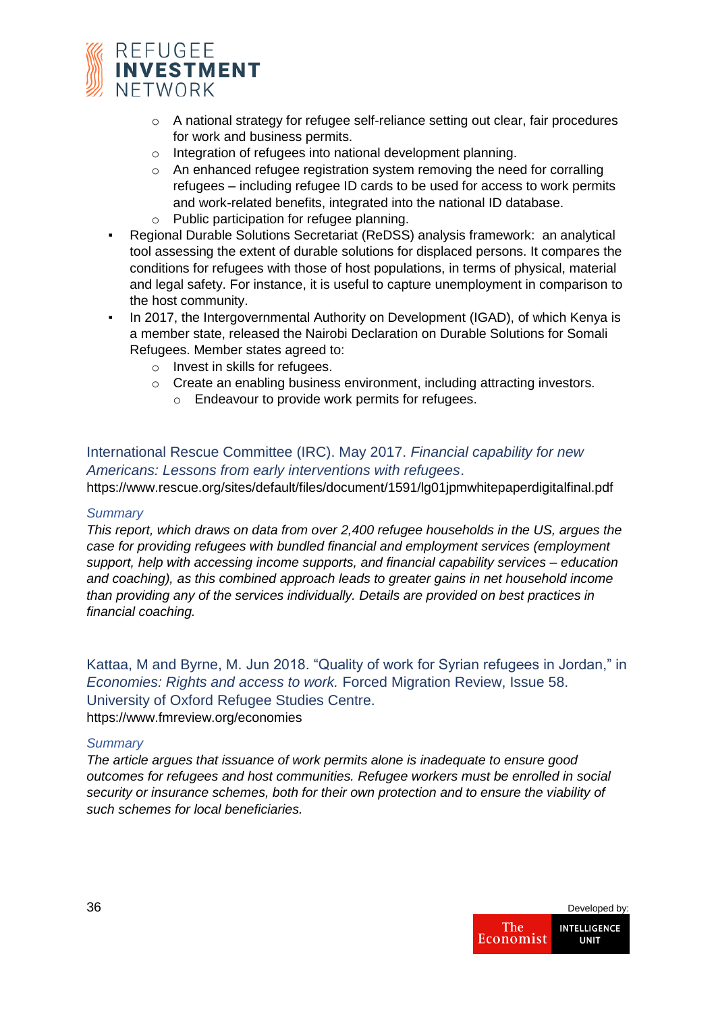

- $\circ$  A national strategy for refugee self-reliance setting out clear, fair procedures for work and business permits.
- o Integration of refugees into national development planning.
- o An enhanced refugee registration system removing the need for corralling refugees – including refugee ID cards to be used for access to work permits and work-related benefits, integrated into the national ID database.
- o Public participation for refugee planning.
- Regional Durable Solutions Secretariat (ReDSS) analysis framework: an analytical tool assessing the extent of durable solutions for displaced persons. It compares the conditions for refugees with those of host populations, in terms of physical, material and legal safety. For instance, it is useful to capture unemployment in comparison to the host community.
- In 2017, the Intergovernmental Authority on Development (IGAD), of which Kenya is a member state, released the Nairobi Declaration on Durable Solutions for Somali Refugees. Member states agreed to:
	- o Invest in skills for refugees.
	- o Create an enabling business environment, including attracting investors.
		- o Endeavour to provide work permits for refugees.

## International Rescue Committee (IRC). May 2017. *Financial capability for new Americans: Lessons from early interventions with refugees*.

https://www.rescue.org/sites/default/files/document/1591/lg01jpmwhitepaperdigitalfinal.pdf

#### *Summary*

*This report, which draws on data from over 2,400 refugee households in the US, argues the case for providing refugees with bundled financial and employment services (employment support, help with accessing income supports, and financial capability services – education and coaching), as this combined approach leads to greater gains in net household income than providing any of the services individually. Details are provided on best practices in financial coaching.*

Kattaa, M and Byrne, M. Jun 2018. "Quality of work for Syrian refugees in Jordan," in *Economies: Rights and access to work.* Forced Migration Review, Issue 58. University of Oxford Refugee Studies Centre. https://www.fmreview.org/economies

#### *Summary*

*The article argues that issuance of work permits alone is inadequate to ensure good outcomes for refugees and host communities. Refugee workers must be enrolled in social security or insurance schemes, both for their own protection and to ensure the viability of such schemes for local beneficiaries.*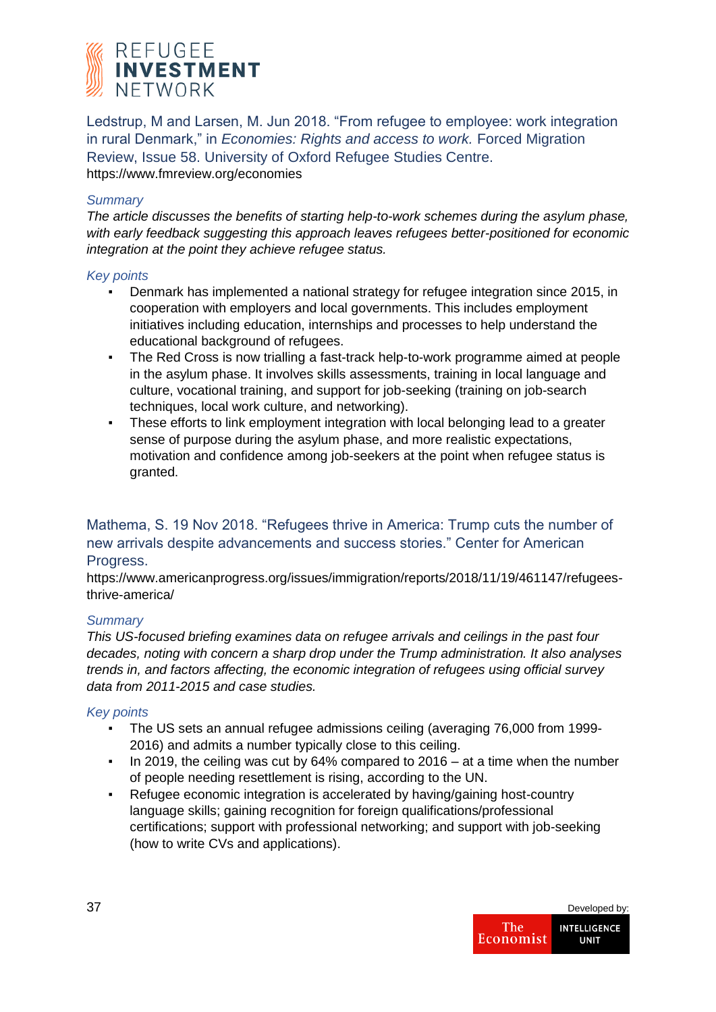

Ledstrup, M and Larsen, M. Jun 2018. "From refugee to employee: work integration in rural Denmark," in *Economies: Rights and access to work.* Forced Migration Review, Issue 58. University of Oxford Refugee Studies Centre. https://www.fmreview.org/economies

## *Summary*

*The article discusses the benefits of starting help-to-work schemes during the asylum phase, with early feedback suggesting this approach leaves refugees better-positioned for economic integration at the point they achieve refugee status.* 

#### *Key points*

- Denmark has implemented a national strategy for refugee integration since 2015, in cooperation with employers and local governments. This includes employment initiatives including education, internships and processes to help understand the educational background of refugees.
- The Red Cross is now trialling a fast-track help-to-work programme aimed at people in the asylum phase. It involves skills assessments, training in local language and culture, vocational training, and support for job-seeking (training on job-search techniques, local work culture, and networking).
- These efforts to link employment integration with local belonging lead to a greater sense of purpose during the asylum phase, and more realistic expectations, motivation and confidence among job-seekers at the point when refugee status is granted.

## Mathema, S. 19 Nov 2018. "Refugees thrive in America: Trump cuts the number of new arrivals despite advancements and success stories." Center for American Progress.

https://www.americanprogress.org/issues/immigration/reports/2018/11/19/461147/refugeesthrive-america/

#### *Summary*

*This US-focused briefing examines data on refugee arrivals and ceilings in the past four decades, noting with concern a sharp drop under the Trump administration. It also analyses trends in, and factors affecting, the economic integration of refugees using official survey data from 2011-2015 and case studies.*

- The US sets an annual refugee admissions ceiling (averaging 76,000 from 1999-2016) and admits a number typically close to this ceiling.
- In 2019, the ceiling was cut by 64% compared to 2016 at a time when the number of people needing resettlement is rising, according to the UN.
- Refugee economic integration is accelerated by having/gaining host-country language skills; gaining recognition for foreign qualifications/professional certifications; support with professional networking; and support with job-seeking (how to write CVs and applications).

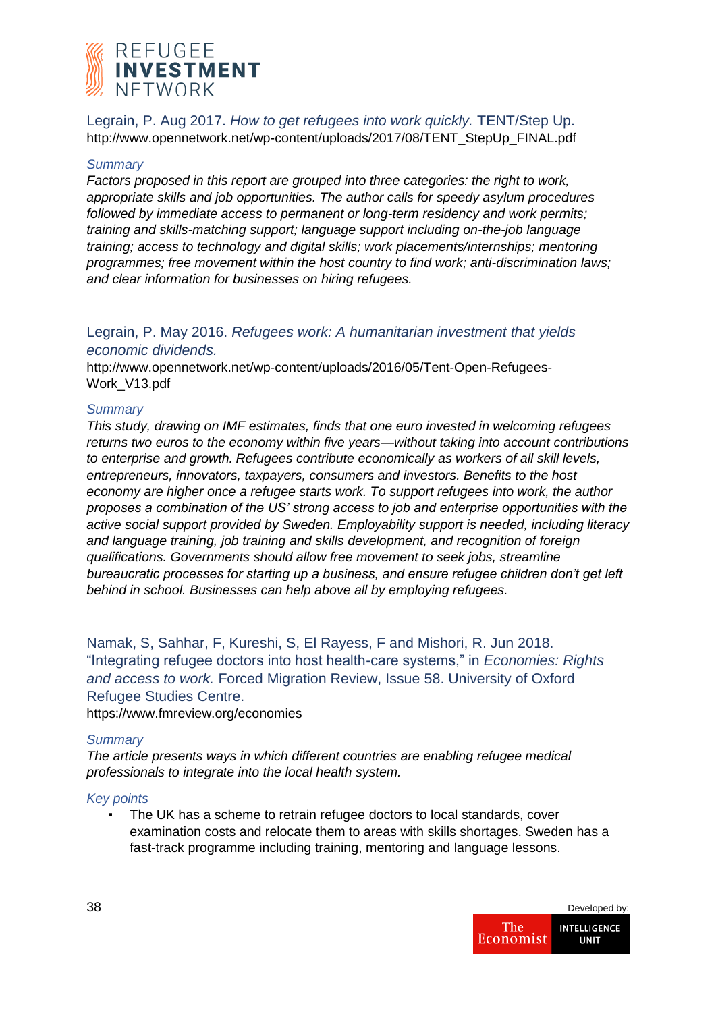

Legrain, P. Aug 2017. *How to get refugees into work quickly.* TENT/Step Up. http://www.opennetwork.net/wp-content/uploads/2017/08/TENT\_StepUp\_FINAL.pdf

#### *Summary*

*Factors proposed in this report are grouped into three categories: the right to work, appropriate skills and job opportunities. The author calls for speedy asylum procedures followed by immediate access to permanent or long-term residency and work permits; training and skills-matching support; language support including on-the-job language training; access to technology and digital skills; work placements/internships; mentoring programmes; free movement within the host country to find work; anti-discrimination laws; and clear information for businesses on hiring refugees.*

## Legrain, P. May 2016. *Refugees work: A humanitarian investment that yields economic dividends.*

http://www.opennetwork.net/wp-content/uploads/2016/05/Tent-Open-Refugees-Work\_V13.pdf

#### *Summary*

*This study, drawing on IMF estimates, finds that one euro invested in welcoming refugees returns two euros to the economy within five years—without taking into account contributions to enterprise and growth. Refugees contribute economically as workers of all skill levels, entrepreneurs, innovators, taxpayers, consumers and investors. Benefits to the host economy are higher once a refugee starts work. To support refugees into work, the author proposes a combination of the US' strong access to job and enterprise opportunities with the active social support provided by Sweden. Employability support is needed, including literacy and language training, job training and skills development, and recognition of foreign qualifications. Governments should allow free movement to seek jobs, streamline bureaucratic processes for starting up a business, and ensure refugee children don't get left behind in school. Businesses can help above all by employing refugees.*

Namak, S, Sahhar, F, Kureshi, S, El Rayess, F and Mishori, R. Jun 2018. "Integrating refugee doctors into host health-care systems," in *Economies: Rights and access to work.* Forced Migration Review, Issue 58. University of Oxford Refugee Studies Centre.

https://www.fmreview.org/economies

#### *Summary*

*The article presents ways in which different countries are enabling refugee medical professionals to integrate into the local health system.*

#### *Key points*

▪ The UK has a scheme to retrain refugee doctors to local standards, cover examination costs and relocate them to areas with skills shortages. Sweden has a fast-track programme including training, mentoring and language lessons.

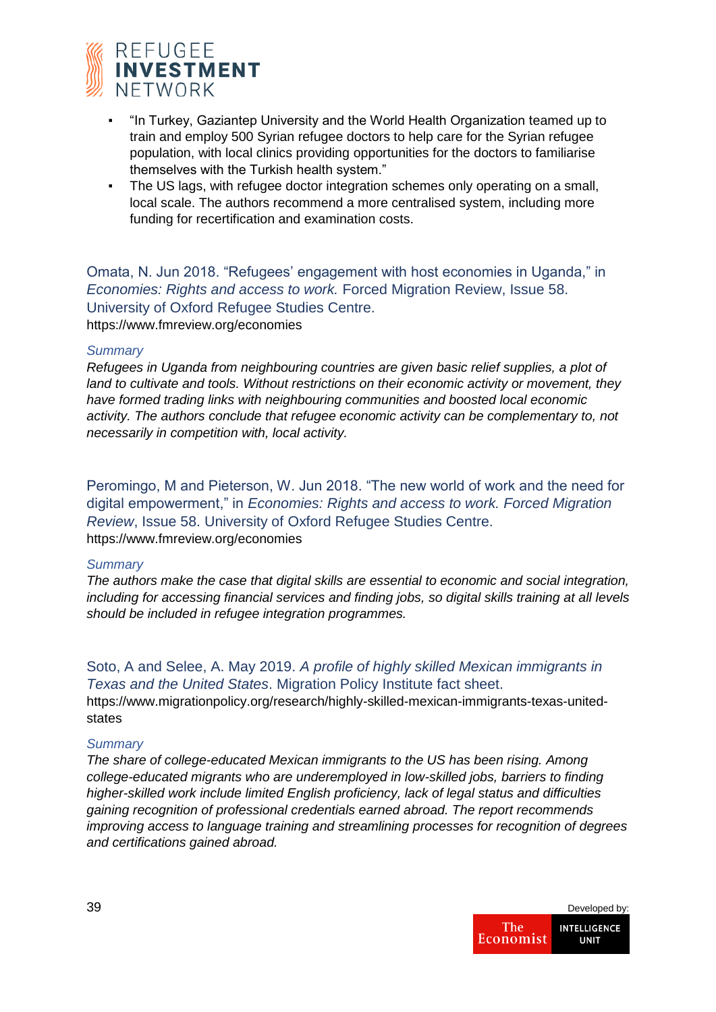

- "In Turkey, Gaziantep University and the World Health Organization teamed up to train and employ 500 Syrian refugee doctors to help care for the Syrian refugee population, with local clinics providing opportunities for the doctors to familiarise themselves with the Turkish health system."
- The US lags, with refugee doctor integration schemes only operating on a small, local scale. The authors recommend a more centralised system, including more funding for recertification and examination costs.

Omata, N. Jun 2018. "Refugees' engagement with host economies in Uganda," in *Economies: Rights and access to work.* Forced Migration Review, Issue 58. University of Oxford Refugee Studies Centre.

https://www.fmreview.org/economies

#### *Summary*

*Refugees in Uganda from neighbouring countries are given basic relief supplies, a plot of land to cultivate and tools. Without restrictions on their economic activity or movement, they have formed trading links with neighbouring communities and boosted local economic activity. The authors conclude that refugee economic activity can be complementary to, not necessarily in competition with, local activity.*

Peromingo, M and Pieterson, W. Jun 2018. "The new world of work and the need for digital empowerment," in *Economies: Rights and access to work. Forced Migration Review*, Issue 58. University of Oxford Refugee Studies Centre. https://www.fmreview.org/economies

#### *Summary*

*The authors make the case that digital skills are essential to economic and social integration, including for accessing financial services and finding jobs, so digital skills training at all levels should be included in refugee integration programmes.*

## Soto, A and Selee, A. May 2019. *A profile of highly skilled Mexican immigrants in Texas and the United States*. Migration Policy Institute fact sheet.

https://www.migrationpolicy.org/research/highly-skilled-mexican-immigrants-texas-unitedstates

#### *Summary*

*The share of college-educated Mexican immigrants to the US has been rising. Among college-educated migrants who are underemployed in low-skilled jobs, barriers to finding higher-skilled work include limited English proficiency, lack of legal status and difficulties gaining recognition of professional credentials earned abroad. The report recommends improving access to language training and streamlining processes for recognition of degrees and certifications gained abroad.* 

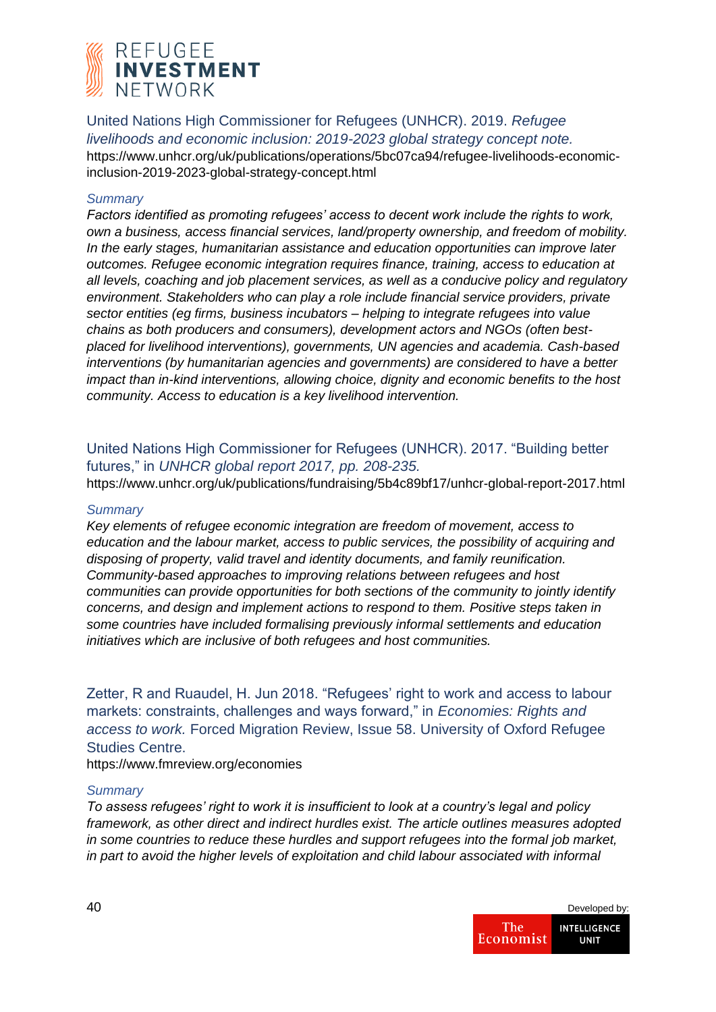

United Nations High Commissioner for Refugees (UNHCR). 2019. *Refugee livelihoods and economic inclusion: 2019-2023 global strategy concept note.* https://www.unhcr.org/uk/publications/operations/5bc07ca94/refugee-livelihoods-economicinclusion-2019-2023-global-strategy-concept.html

#### *Summary*

*Factors identified as promoting refugees' access to decent work include the rights to work, own a business, access financial services, land/property ownership, and freedom of mobility. In the early stages, humanitarian assistance and education opportunities can improve later outcomes. Refugee economic integration requires finance, training, access to education at all levels, coaching and job placement services, as well as a conducive policy and regulatory environment. Stakeholders who can play a role include financial service providers, private sector entities (eg firms, business incubators – helping to integrate refugees into value chains as both producers and consumers), development actors and NGOs (often bestplaced for livelihood interventions), governments, UN agencies and academia. Cash-based interventions (by humanitarian agencies and governments) are considered to have a better impact than in-kind interventions, allowing choice, dignity and economic benefits to the host community. Access to education is a key livelihood intervention.*

United Nations High Commissioner for Refugees (UNHCR). 2017. "Building better futures," in *UNHCR global report 2017, pp. 208-235.*

https://www.unhcr.org/uk/publications/fundraising/5b4c89bf17/unhcr-global-report-2017.html

#### *Summary*

*Key elements of refugee economic integration are freedom of movement, access to education and the labour market, access to public services, the possibility of acquiring and disposing of property, valid travel and identity documents, and family reunification. Community-based approaches to improving relations between refugees and host communities can provide opportunities for both sections of the community to jointly identify concerns, and design and implement actions to respond to them. Positive steps taken in some countries have included formalising previously informal settlements and education initiatives which are inclusive of both refugees and host communities.*

Zetter, R and Ruaudel, H. Jun 2018. "Refugees' right to work and access to labour markets: constraints, challenges and ways forward," in *Economies: Rights and access to work.* Forced Migration Review, Issue 58. University of Oxford Refugee Studies Centre.

https://www.fmreview.org/economies

#### *Summary*

*To assess refugees' right to work it is insufficient to look at a country's legal and policy framework, as other direct and indirect hurdles exist. The article outlines measures adopted in some countries to reduce these hurdles and support refugees into the formal job market, in part to avoid the higher levels of exploitation and child labour associated with informal* 

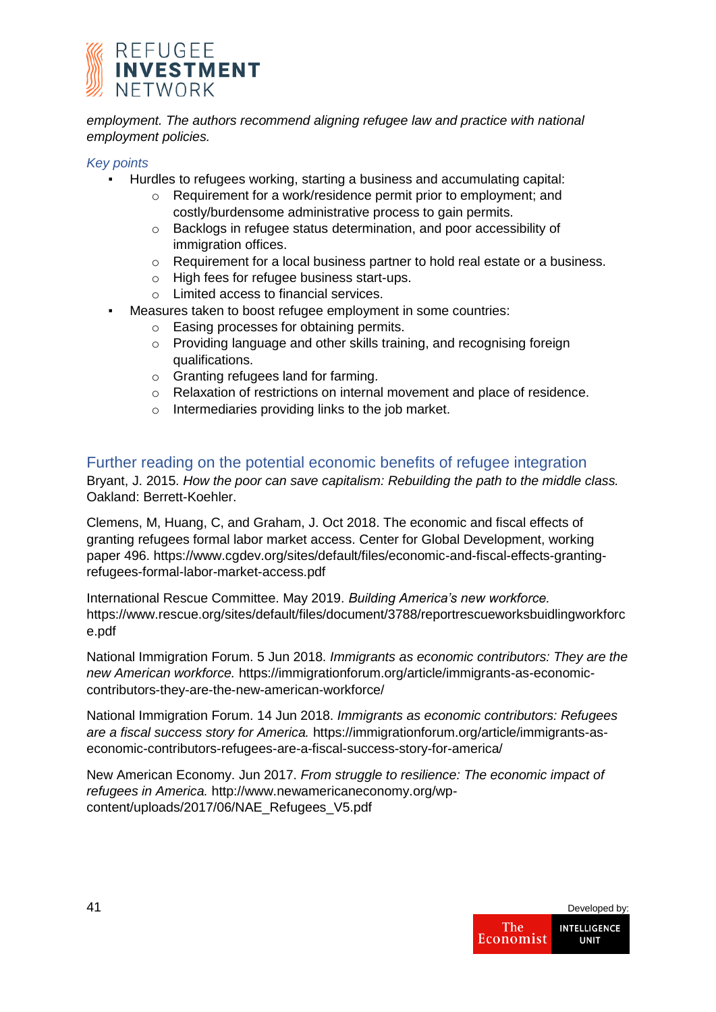

employment. The authors recommend aligning refugee law and practice with national *employment policies.*

#### *Key points*

- Hurdles to refugees working, starting a business and accumulating capital:
	- o Requirement for a work/residence permit prior to employment; and costly/burdensome administrative process to gain permits.
	- o Backlogs in refugee status determination, and poor accessibility of immigration offices.
	- $\circ$  Requirement for a local business partner to hold real estate or a business.
	- o High fees for refugee business start-ups.
	- o Limited access to financial services.
- Measures taken to boost refugee employment in some countries:
	- o Easing processes for obtaining permits.
	- o Providing language and other skills training, and recognising foreign qualifications.
	- o Granting refugees land for farming.
	- o Relaxation of restrictions on internal movement and place of residence.
	- o Intermediaries providing links to the job market.

## Further reading on the potential economic benefits of refugee integration

Bryant, J. 2015. *How the poor can save capitalism: Rebuilding the path to the middle class.* Oakland: Berrett-Koehler.

Clemens, M, Huang, C, and Graham, J. Oct 2018. The economic and fiscal effects of granting refugees formal labor market access. Center for Global Development, working paper 496. https://www.cgdev.org/sites/default/files/economic-and-fiscal-effects-grantingrefugees-formal-labor-market-access.pdf

International Rescue Committee. May 2019. *Building America's new workforce.* https://www.rescue.org/sites/default/files/document/3788/reportrescueworksbuidlingworkforc e.pdf

National Immigration Forum. 5 Jun 2018. *Immigrants as economic contributors: They are the new American workforce.* https://immigrationforum.org/article/immigrants-as-economiccontributors-they-are-the-new-american-workforce/

National Immigration Forum. 14 Jun 2018. *Immigrants as economic contributors: Refugees are a fiscal success story for America.* https://immigrationforum.org/article/immigrants-aseconomic-contributors-refugees-are-a-fiscal-success-story-for-america/

New American Economy. Jun 2017. *From struggle to resilience: The economic impact of refugees in America.* http://www.newamericaneconomy.org/wpcontent/uploads/2017/06/NAE\_Refugees\_V5.pdf